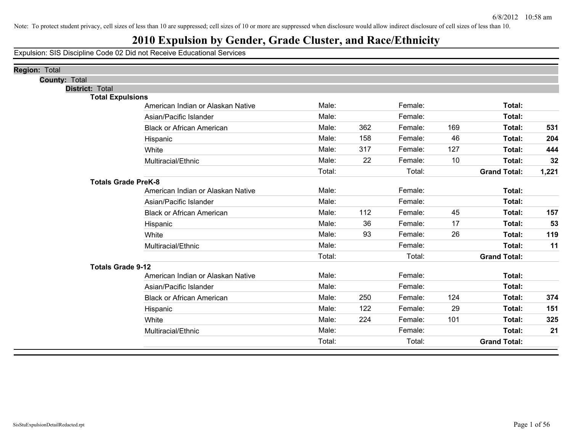## **2010 Expulsion by Gender, Grade Cluster, and Race/Ethnicity**

| Region: Total              |                                   |        |     |         |     |                     |       |
|----------------------------|-----------------------------------|--------|-----|---------|-----|---------------------|-------|
| <b>County: Total</b>       |                                   |        |     |         |     |                     |       |
| <b>District: Total</b>     |                                   |        |     |         |     |                     |       |
| <b>Total Expulsions</b>    |                                   | Male:  |     | Female: |     | Total:              |       |
|                            | American Indian or Alaskan Native |        |     |         |     |                     |       |
|                            | Asian/Pacific Islander            | Male:  |     | Female: |     | Total:              |       |
|                            | <b>Black or African American</b>  | Male:  | 362 | Female: | 169 | Total:              | 531   |
|                            | Hispanic                          | Male:  | 158 | Female: | 46  | Total:              | 204   |
|                            | White                             | Male:  | 317 | Female: | 127 | Total:              | 444   |
|                            | Multiracial/Ethnic                | Male:  | 22  | Female: | 10  | Total:              | 32    |
|                            |                                   | Total: |     | Total:  |     | <b>Grand Total:</b> | 1,221 |
| <b>Totals Grade PreK-8</b> |                                   |        |     |         |     |                     |       |
|                            | American Indian or Alaskan Native | Male:  |     | Female: |     | Total:              |       |
|                            | Asian/Pacific Islander            | Male:  |     | Female: |     | Total:              |       |
|                            | <b>Black or African American</b>  | Male:  | 112 | Female: | 45  | Total:              | 157   |
|                            | Hispanic                          | Male:  | 36  | Female: | 17  | Total:              | 53    |
|                            | White                             | Male:  | 93  | Female: | 26  | Total:              | 119   |
|                            | Multiracial/Ethnic                | Male:  |     | Female: |     | Total:              | 11    |
|                            |                                   | Total: |     | Total:  |     | <b>Grand Total:</b> |       |
| <b>Totals Grade 9-12</b>   |                                   |        |     |         |     |                     |       |
|                            | American Indian or Alaskan Native | Male:  |     | Female: |     | Total:              |       |
|                            | Asian/Pacific Islander            | Male:  |     | Female: |     | Total:              |       |
|                            | <b>Black or African American</b>  | Male:  | 250 | Female: | 124 | Total:              | 374   |
|                            | Hispanic                          | Male:  | 122 | Female: | 29  | Total:              | 151   |
|                            | White                             | Male:  | 224 | Female: | 101 | Total:              | 325   |
|                            | Multiracial/Ethnic                | Male:  |     | Female: |     | Total:              | 21    |
|                            |                                   | Total: |     | Total:  |     | <b>Grand Total:</b> |       |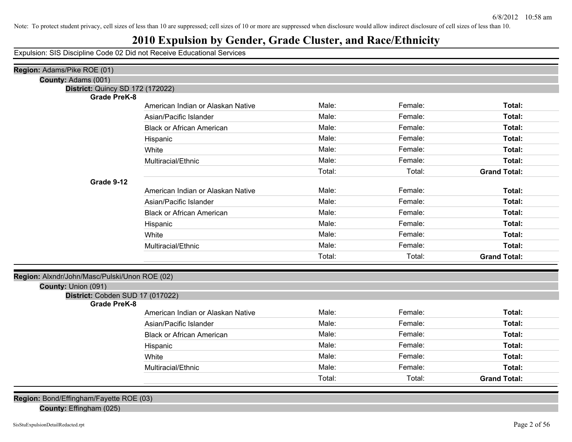## **2010 Expulsion by Gender, Grade Cluster, and Race/Ethnicity**

Expulsion: SIS Discipline Code 02 Did not Receive Educational Services

| Region: Adams/Pike ROE (01)                             |                                   |        |         |                     |
|---------------------------------------------------------|-----------------------------------|--------|---------|---------------------|
| County: Adams (001)                                     |                                   |        |         |                     |
| District: Quincy SD 172 (172022)                        |                                   |        |         |                     |
| <b>Grade PreK-8</b>                                     |                                   |        |         |                     |
|                                                         | American Indian or Alaskan Native | Male:  | Female: | Total:              |
|                                                         | Asian/Pacific Islander            | Male:  | Female: | Total:              |
|                                                         | <b>Black or African American</b>  | Male:  | Female: | Total:              |
|                                                         | Hispanic                          | Male:  | Female: | Total:              |
|                                                         | White                             | Male:  | Female: | Total:              |
|                                                         | Multiracial/Ethnic                | Male:  | Female: | Total:              |
|                                                         |                                   | Total: | Total:  | <b>Grand Total:</b> |
| Grade 9-12                                              |                                   |        |         |                     |
|                                                         | American Indian or Alaskan Native | Male:  | Female: | Total:              |
|                                                         | Asian/Pacific Islander            | Male:  | Female: | Total:              |
|                                                         | <b>Black or African American</b>  | Male:  | Female: | Total:              |
|                                                         | Hispanic                          | Male:  | Female: | Total:              |
|                                                         | White                             | Male:  | Female: | Total:              |
|                                                         | Multiracial/Ethnic                | Male:  | Female: | Total:              |
|                                                         |                                   | Total: | Total:  | <b>Grand Total:</b> |
|                                                         |                                   |        |         |                     |
| Region: Alxndr/John/Masc/Pulski/Unon ROE (02)           |                                   |        |         |                     |
| County: Union (091)                                     |                                   |        |         |                     |
| District: Cobden SUD 17 (017022)<br><b>Grade PreK-8</b> |                                   |        |         |                     |
|                                                         | American Indian or Alaskan Native | Male:  | Female: | Total:              |
|                                                         | Asian/Pacific Islander            | Male:  | Female: | Total:              |
|                                                         | <b>Black or African American</b>  | Male:  | Female: | Total:              |
|                                                         | Hispanic                          | Male:  | Female: | Total:              |
|                                                         | White                             | Male:  | Female: | Total:              |
|                                                         | Multiracial/Ethnic                | Male:  | Female: | Total:              |
|                                                         |                                   | Total: | Total:  | <b>Grand Total:</b> |
|                                                         |                                   |        |         |                     |
| Region: Bond/Effingham/Fayette ROE (03)                 |                                   |        |         |                     |

### **County:** Effingham (025)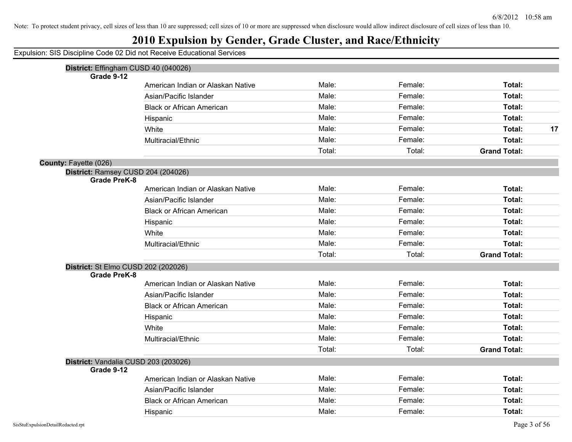## **2010 Expulsion by Gender, Grade Cluster, and Race/Ethnicity**

| District: Effingham CUSD 40 (040026)                      |                                   |        |         |                     |    |
|-----------------------------------------------------------|-----------------------------------|--------|---------|---------------------|----|
| Grade 9-12                                                |                                   |        |         |                     |    |
|                                                           | American Indian or Alaskan Native | Male:  | Female: | Total:              |    |
|                                                           | Asian/Pacific Islander            | Male:  | Female: | Total:              |    |
|                                                           | <b>Black or African American</b>  | Male:  | Female: | Total:              |    |
|                                                           | Hispanic                          | Male:  | Female: | Total:              |    |
|                                                           | White                             | Male:  | Female: | Total:              | 17 |
|                                                           | Multiracial/Ethnic                | Male:  | Female: | Total:              |    |
|                                                           |                                   | Total: | Total:  | <b>Grand Total:</b> |    |
| County: Fayette (026)                                     |                                   |        |         |                     |    |
| District: Ramsey CUSD 204 (204026)<br><b>Grade PreK-8</b> |                                   |        |         |                     |    |
|                                                           | American Indian or Alaskan Native | Male:  | Female: | Total:              |    |
|                                                           | Asian/Pacific Islander            | Male:  | Female: | Total:              |    |
|                                                           | <b>Black or African American</b>  | Male:  | Female: | Total:              |    |
|                                                           | Hispanic                          | Male:  | Female: | Total:              |    |
|                                                           | White                             | Male:  | Female: | Total:              |    |
|                                                           | Multiracial/Ethnic                | Male:  | Female: | Total:              |    |
|                                                           |                                   | Total: | Total:  | <b>Grand Total:</b> |    |
| District: St Elmo CUSD 202 (202026)                       |                                   |        |         |                     |    |
| <b>Grade PreK-8</b>                                       |                                   |        |         |                     |    |
|                                                           | American Indian or Alaskan Native | Male:  | Female: | <b>Total:</b>       |    |
|                                                           | Asian/Pacific Islander            | Male:  | Female: | Total:              |    |
|                                                           | <b>Black or African American</b>  | Male:  | Female: | Total:              |    |
|                                                           | Hispanic                          | Male:  | Female: | Total:              |    |
|                                                           | White                             | Male:  | Female: | Total:              |    |
|                                                           | Multiracial/Ethnic                | Male:  | Female: | Total:              |    |
|                                                           |                                   | Total: | Total:  | <b>Grand Total:</b> |    |
| District: Vandalia CUSD 203 (203026)                      |                                   |        |         |                     |    |
| Grade 9-12                                                | American Indian or Alaskan Native | Male:  | Female: | Total:              |    |
|                                                           |                                   | Male:  | Female: | Total:              |    |
|                                                           | Asian/Pacific Islander            |        |         |                     |    |
|                                                           | <b>Black or African American</b>  | Male:  | Female: | Total:              |    |
|                                                           | Hispanic                          | Male:  | Female: | Total:              |    |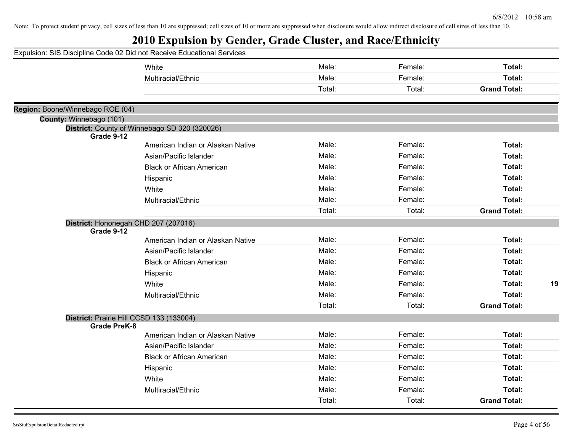| Expulsion: SIS Discipline Code 02 Did not Receive Educational Services |                                               |        |         |                     |    |
|------------------------------------------------------------------------|-----------------------------------------------|--------|---------|---------------------|----|
|                                                                        | White                                         | Male:  | Female: | Total:              |    |
|                                                                        | Multiracial/Ethnic                            | Male:  | Female: | Total:              |    |
|                                                                        |                                               | Total: | Total:  | <b>Grand Total:</b> |    |
|                                                                        |                                               |        |         |                     |    |
| Region: Boone/Winnebago ROE (04)                                       |                                               |        |         |                     |    |
| County: Winnebago (101)                                                | District: County of Winnebago SD 320 (320026) |        |         |                     |    |
| Grade 9-12                                                             |                                               |        |         |                     |    |
|                                                                        | American Indian or Alaskan Native             | Male:  | Female: | Total:              |    |
|                                                                        | Asian/Pacific Islander                        | Male:  | Female: | Total:              |    |
|                                                                        | <b>Black or African American</b>              | Male:  | Female: | Total:              |    |
|                                                                        | Hispanic                                      | Male:  | Female: | Total:              |    |
|                                                                        | White                                         | Male:  | Female: | Total:              |    |
|                                                                        | Multiracial/Ethnic                            | Male:  | Female: | Total:              |    |
|                                                                        |                                               | Total: | Total:  | <b>Grand Total:</b> |    |
| District: Hononegah CHD 207 (207016)                                   |                                               |        |         |                     |    |
| Grade 9-12                                                             |                                               |        |         |                     |    |
|                                                                        | American Indian or Alaskan Native             | Male:  | Female: | Total:              |    |
|                                                                        | Asian/Pacific Islander                        | Male:  | Female: | Total:              |    |
|                                                                        | <b>Black or African American</b>              | Male:  | Female: | Total:              |    |
|                                                                        | Hispanic                                      | Male:  | Female: | Total:              |    |
|                                                                        | White                                         | Male:  | Female: | Total:              | 19 |
|                                                                        | Multiracial/Ethnic                            | Male:  | Female: | Total:              |    |
|                                                                        |                                               | Total: | Total:  | <b>Grand Total:</b> |    |
| District: Prairie Hill CCSD 133 (133004)                               |                                               |        |         |                     |    |
| <b>Grade PreK-8</b>                                                    |                                               |        |         |                     |    |
|                                                                        | American Indian or Alaskan Native             | Male:  | Female: | Total:              |    |
|                                                                        | Asian/Pacific Islander                        | Male:  | Female: | Total:              |    |
|                                                                        | <b>Black or African American</b>              | Male:  | Female: | Total:              |    |
|                                                                        | Hispanic                                      | Male:  | Female: | Total:              |    |
|                                                                        | White                                         | Male:  | Female: | Total:              |    |
|                                                                        | Multiracial/Ethnic                            | Male:  | Female: | Total:              |    |
|                                                                        |                                               | Total: | Total:  | <b>Grand Total:</b> |    |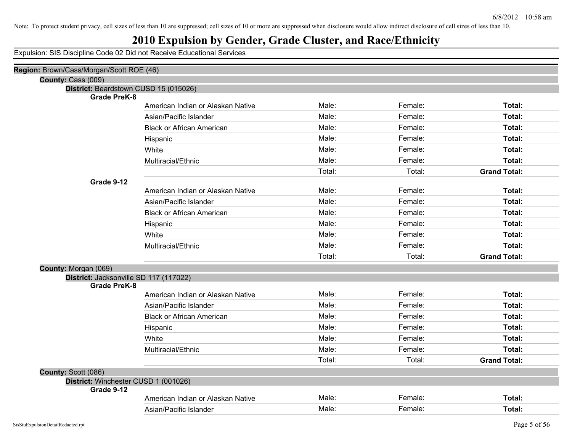## **2010 Expulsion by Gender, Grade Cluster, and Race/Ethnicity**

| Region: Brown/Cass/Morgan/Scott ROE (46) |                                   |        |         |                     |
|------------------------------------------|-----------------------------------|--------|---------|---------------------|
| County: Cass (009)                       |                                   |        |         |                     |
| District: Beardstown CUSD 15 (015026)    |                                   |        |         |                     |
| <b>Grade PreK-8</b>                      |                                   | Male:  | Female: |                     |
|                                          | American Indian or Alaskan Native |        |         | Total:              |
|                                          | Asian/Pacific Islander            | Male:  | Female: | <b>Total:</b>       |
|                                          | <b>Black or African American</b>  | Male:  | Female: | Total:              |
|                                          | Hispanic                          | Male:  | Female: | Total:              |
|                                          | White                             | Male:  | Female: | Total:              |
|                                          | Multiracial/Ethnic                | Male:  | Female: | Total:              |
|                                          |                                   | Total: | Total:  | <b>Grand Total:</b> |
| Grade 9-12                               |                                   |        |         |                     |
|                                          | American Indian or Alaskan Native | Male:  | Female: | Total:              |
|                                          | Asian/Pacific Islander            | Male:  | Female: | Total:              |
|                                          | <b>Black or African American</b>  | Male:  | Female: | Total:              |
|                                          | Hispanic                          | Male:  | Female: | Total:              |
|                                          | White                             | Male:  | Female: | Total:              |
|                                          | Multiracial/Ethnic                | Male:  | Female: | <b>Total:</b>       |
|                                          |                                   | Total: | Total:  | <b>Grand Total:</b> |
| County: Morgan (069)                     |                                   |        |         |                     |
| District: Jacksonville SD 117 (117022)   |                                   |        |         |                     |
| <b>Grade PreK-8</b>                      |                                   | Male:  | Female: |                     |
|                                          | American Indian or Alaskan Native |        |         | Total:              |
|                                          | Asian/Pacific Islander            | Male:  | Female: | Total:              |
|                                          | <b>Black or African American</b>  | Male:  | Female: | <b>Total:</b>       |
|                                          | Hispanic                          | Male:  | Female: | Total:              |
|                                          | White                             | Male:  | Female: | Total:              |
|                                          | Multiracial/Ethnic                | Male:  | Female: | Total:              |
|                                          |                                   | Total: | Total:  | <b>Grand Total:</b> |
| County: Scott (086)                      |                                   |        |         |                     |
| District: Winchester CUSD 1 (001026)     |                                   |        |         |                     |
| Grade 9-12                               | American Indian or Alaskan Native | Male:  | Female: | Total:              |
|                                          |                                   | Male:  | Female: |                     |
|                                          | Asian/Pacific Islander            |        |         | Total:              |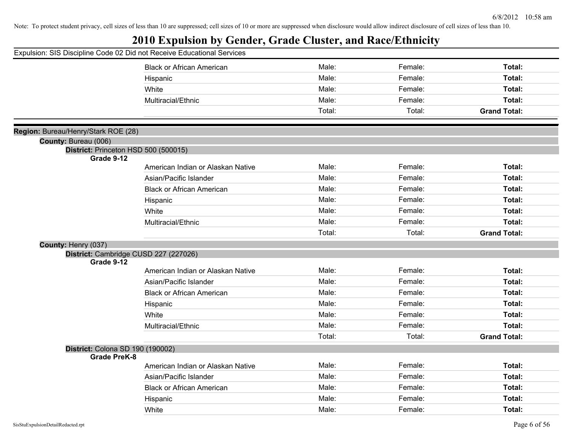| Expulsion: SIS Discipline Code 02 Did not Receive Educational Services |
|------------------------------------------------------------------------|
|------------------------------------------------------------------------|

| paioit Oio Diocipiirio oo                          |                                       |        |         |                     |
|----------------------------------------------------|---------------------------------------|--------|---------|---------------------|
|                                                    | <b>Black or African American</b>      | Male:  | Female: | Total:              |
|                                                    | Hispanic                              | Male:  | Female: | Total:              |
|                                                    | White                                 | Male:  | Female: | Total:              |
|                                                    | Multiracial/Ethnic                    | Male:  | Female: | Total:              |
|                                                    |                                       | Total: | Total:  | <b>Grand Total:</b> |
|                                                    |                                       |        |         |                     |
| Region: Bureau/Henry/Stark ROE (28)                |                                       |        |         |                     |
| County: Bureau (006)                               |                                       |        |         |                     |
| District: Princeton HSD 500 (500015)<br>Grade 9-12 |                                       |        |         |                     |
|                                                    | American Indian or Alaskan Native     | Male:  | Female: | Total:              |
|                                                    | Asian/Pacific Islander                | Male:  | Female: | Total:              |
|                                                    | <b>Black or African American</b>      | Male:  | Female: | Total:              |
|                                                    | Hispanic                              | Male:  | Female: | Total:              |
|                                                    | White                                 | Male:  | Female: | Total:              |
|                                                    | Multiracial/Ethnic                    | Male:  | Female: | Total:              |
|                                                    |                                       | Total: | Total:  | <b>Grand Total:</b> |
| County: Henry (037)                                |                                       |        |         |                     |
|                                                    | District: Cambridge CUSD 227 (227026) |        |         |                     |
| Grade 9-12                                         |                                       |        |         |                     |
|                                                    | American Indian or Alaskan Native     | Male:  | Female: | Total:              |
|                                                    | Asian/Pacific Islander                | Male:  | Female: | Total:              |
|                                                    | <b>Black or African American</b>      | Male:  | Female: | Total:              |
|                                                    | Hispanic                              | Male:  | Female: | Total:              |
|                                                    | White                                 | Male:  | Female: | Total:              |
|                                                    | Multiracial/Ethnic                    | Male:  | Female: | Total:              |
|                                                    |                                       | Total: | Total:  | <b>Grand Total:</b> |
| District: Colona SD 190 (190002)                   |                                       |        |         |                     |
| <b>Grade PreK-8</b>                                |                                       |        |         |                     |
|                                                    | American Indian or Alaskan Native     | Male:  | Female: | Total:              |
|                                                    | Asian/Pacific Islander                | Male:  | Female: | Total:              |
|                                                    | <b>Black or African American</b>      | Male:  | Female: | Total:              |
|                                                    | Hispanic                              | Male:  | Female: | Total:              |
|                                                    | White                                 | Male:  | Female: | Total:              |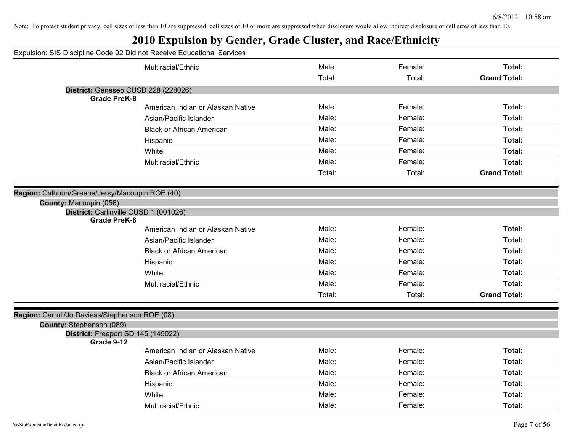| Expulsion: SIS Discipline Code 02 Did not Receive Educational Services<br>Male:<br>Female:<br>Total:<br>Multiracial/Ethnic<br>Total:<br><b>Grand Total:</b><br>Total:<br>District: Geneseo CUSD 228 (228026)<br><b>Grade PreK-8</b><br>Male:<br>Female:<br>Total:<br>American Indian or Alaskan Native<br>Male:<br>Female:<br>Total:<br>Asian/Pacific Islander<br>Male:<br>Female:<br><b>Black or African American</b><br>Total:<br>Male:<br>Female:<br>Total:<br>Hispanic<br>Male:<br>Female:<br>Total:<br>White<br>Male:<br>Total:<br>Female:<br>Multiracial/Ethnic<br>Total:<br>Total:<br><b>Grand Total:</b><br>Region: Calhoun/Greene/Jersy/Macoupin ROE (40)<br>County: Macoupin (056)<br>District: Carlinville CUSD 1 (001026)<br><b>Grade PreK-8</b><br>Male:<br>Female:<br>Total:<br>American Indian or Alaskan Native<br>Male:<br>Female:<br>Total:<br>Asian/Pacific Islander<br>Male:<br>Female:<br>Total:<br><b>Black or African American</b><br>Male:<br>Female:<br>Total:<br>Hispanic<br>Male:<br>Female:<br>Total:<br>White<br>Total:<br>Male:<br>Female:<br>Multiracial/Ethnic<br>Total:<br>Total:<br><b>Grand Total:</b><br>Region: Carroll/Jo Daviess/Stephenson ROE (08)<br>County: Stephenson (089)<br>District: Freeport SD 145 (145022)<br>Grade 9-12<br>Male:<br>Female:<br>Total:<br>American Indian or Alaskan Native<br>Male:<br>Female:<br>Total:<br>Asian/Pacific Islander |                                  |       |         |        |
|--------------------------------------------------------------------------------------------------------------------------------------------------------------------------------------------------------------------------------------------------------------------------------------------------------------------------------------------------------------------------------------------------------------------------------------------------------------------------------------------------------------------------------------------------------------------------------------------------------------------------------------------------------------------------------------------------------------------------------------------------------------------------------------------------------------------------------------------------------------------------------------------------------------------------------------------------------------------------------------------------------------------------------------------------------------------------------------------------------------------------------------------------------------------------------------------------------------------------------------------------------------------------------------------------------------------------------------------------------------------------------------------------------|----------------------------------|-------|---------|--------|
|                                                                                                                                                                                                                                                                                                                                                                                                                                                                                                                                                                                                                                                                                                                                                                                                                                                                                                                                                                                                                                                                                                                                                                                                                                                                                                                                                                                                        |                                  |       |         |        |
|                                                                                                                                                                                                                                                                                                                                                                                                                                                                                                                                                                                                                                                                                                                                                                                                                                                                                                                                                                                                                                                                                                                                                                                                                                                                                                                                                                                                        |                                  |       |         |        |
|                                                                                                                                                                                                                                                                                                                                                                                                                                                                                                                                                                                                                                                                                                                                                                                                                                                                                                                                                                                                                                                                                                                                                                                                                                                                                                                                                                                                        |                                  |       |         |        |
|                                                                                                                                                                                                                                                                                                                                                                                                                                                                                                                                                                                                                                                                                                                                                                                                                                                                                                                                                                                                                                                                                                                                                                                                                                                                                                                                                                                                        |                                  |       |         |        |
|                                                                                                                                                                                                                                                                                                                                                                                                                                                                                                                                                                                                                                                                                                                                                                                                                                                                                                                                                                                                                                                                                                                                                                                                                                                                                                                                                                                                        |                                  |       |         |        |
|                                                                                                                                                                                                                                                                                                                                                                                                                                                                                                                                                                                                                                                                                                                                                                                                                                                                                                                                                                                                                                                                                                                                                                                                                                                                                                                                                                                                        |                                  |       |         |        |
|                                                                                                                                                                                                                                                                                                                                                                                                                                                                                                                                                                                                                                                                                                                                                                                                                                                                                                                                                                                                                                                                                                                                                                                                                                                                                                                                                                                                        |                                  |       |         |        |
|                                                                                                                                                                                                                                                                                                                                                                                                                                                                                                                                                                                                                                                                                                                                                                                                                                                                                                                                                                                                                                                                                                                                                                                                                                                                                                                                                                                                        |                                  |       |         |        |
|                                                                                                                                                                                                                                                                                                                                                                                                                                                                                                                                                                                                                                                                                                                                                                                                                                                                                                                                                                                                                                                                                                                                                                                                                                                                                                                                                                                                        |                                  |       |         |        |
|                                                                                                                                                                                                                                                                                                                                                                                                                                                                                                                                                                                                                                                                                                                                                                                                                                                                                                                                                                                                                                                                                                                                                                                                                                                                                                                                                                                                        |                                  |       |         |        |
|                                                                                                                                                                                                                                                                                                                                                                                                                                                                                                                                                                                                                                                                                                                                                                                                                                                                                                                                                                                                                                                                                                                                                                                                                                                                                                                                                                                                        |                                  |       |         |        |
|                                                                                                                                                                                                                                                                                                                                                                                                                                                                                                                                                                                                                                                                                                                                                                                                                                                                                                                                                                                                                                                                                                                                                                                                                                                                                                                                                                                                        |                                  |       |         |        |
|                                                                                                                                                                                                                                                                                                                                                                                                                                                                                                                                                                                                                                                                                                                                                                                                                                                                                                                                                                                                                                                                                                                                                                                                                                                                                                                                                                                                        |                                  |       |         |        |
|                                                                                                                                                                                                                                                                                                                                                                                                                                                                                                                                                                                                                                                                                                                                                                                                                                                                                                                                                                                                                                                                                                                                                                                                                                                                                                                                                                                                        |                                  |       |         |        |
|                                                                                                                                                                                                                                                                                                                                                                                                                                                                                                                                                                                                                                                                                                                                                                                                                                                                                                                                                                                                                                                                                                                                                                                                                                                                                                                                                                                                        |                                  |       |         |        |
|                                                                                                                                                                                                                                                                                                                                                                                                                                                                                                                                                                                                                                                                                                                                                                                                                                                                                                                                                                                                                                                                                                                                                                                                                                                                                                                                                                                                        |                                  |       |         |        |
|                                                                                                                                                                                                                                                                                                                                                                                                                                                                                                                                                                                                                                                                                                                                                                                                                                                                                                                                                                                                                                                                                                                                                                                                                                                                                                                                                                                                        |                                  |       |         |        |
|                                                                                                                                                                                                                                                                                                                                                                                                                                                                                                                                                                                                                                                                                                                                                                                                                                                                                                                                                                                                                                                                                                                                                                                                                                                                                                                                                                                                        |                                  |       |         |        |
|                                                                                                                                                                                                                                                                                                                                                                                                                                                                                                                                                                                                                                                                                                                                                                                                                                                                                                                                                                                                                                                                                                                                                                                                                                                                                                                                                                                                        |                                  |       |         |        |
|                                                                                                                                                                                                                                                                                                                                                                                                                                                                                                                                                                                                                                                                                                                                                                                                                                                                                                                                                                                                                                                                                                                                                                                                                                                                                                                                                                                                        |                                  |       |         |        |
|                                                                                                                                                                                                                                                                                                                                                                                                                                                                                                                                                                                                                                                                                                                                                                                                                                                                                                                                                                                                                                                                                                                                                                                                                                                                                                                                                                                                        |                                  |       |         |        |
|                                                                                                                                                                                                                                                                                                                                                                                                                                                                                                                                                                                                                                                                                                                                                                                                                                                                                                                                                                                                                                                                                                                                                                                                                                                                                                                                                                                                        |                                  |       |         |        |
|                                                                                                                                                                                                                                                                                                                                                                                                                                                                                                                                                                                                                                                                                                                                                                                                                                                                                                                                                                                                                                                                                                                                                                                                                                                                                                                                                                                                        |                                  |       |         |        |
|                                                                                                                                                                                                                                                                                                                                                                                                                                                                                                                                                                                                                                                                                                                                                                                                                                                                                                                                                                                                                                                                                                                                                                                                                                                                                                                                                                                                        |                                  |       |         |        |
|                                                                                                                                                                                                                                                                                                                                                                                                                                                                                                                                                                                                                                                                                                                                                                                                                                                                                                                                                                                                                                                                                                                                                                                                                                                                                                                                                                                                        |                                  |       |         |        |
|                                                                                                                                                                                                                                                                                                                                                                                                                                                                                                                                                                                                                                                                                                                                                                                                                                                                                                                                                                                                                                                                                                                                                                                                                                                                                                                                                                                                        |                                  |       |         |        |
|                                                                                                                                                                                                                                                                                                                                                                                                                                                                                                                                                                                                                                                                                                                                                                                                                                                                                                                                                                                                                                                                                                                                                                                                                                                                                                                                                                                                        |                                  |       |         |        |
|                                                                                                                                                                                                                                                                                                                                                                                                                                                                                                                                                                                                                                                                                                                                                                                                                                                                                                                                                                                                                                                                                                                                                                                                                                                                                                                                                                                                        |                                  |       |         |        |
|                                                                                                                                                                                                                                                                                                                                                                                                                                                                                                                                                                                                                                                                                                                                                                                                                                                                                                                                                                                                                                                                                                                                                                                                                                                                                                                                                                                                        |                                  |       |         |        |
|                                                                                                                                                                                                                                                                                                                                                                                                                                                                                                                                                                                                                                                                                                                                                                                                                                                                                                                                                                                                                                                                                                                                                                                                                                                                                                                                                                                                        |                                  |       |         |        |
|                                                                                                                                                                                                                                                                                                                                                                                                                                                                                                                                                                                                                                                                                                                                                                                                                                                                                                                                                                                                                                                                                                                                                                                                                                                                                                                                                                                                        | <b>Black or African American</b> | Male: | Female: | Total: |
| Male:<br>Female:<br>Total:<br>Hispanic                                                                                                                                                                                                                                                                                                                                                                                                                                                                                                                                                                                                                                                                                                                                                                                                                                                                                                                                                                                                                                                                                                                                                                                                                                                                                                                                                                 |                                  |       |         |        |
| Male:<br>Female:<br>Total:<br>White                                                                                                                                                                                                                                                                                                                                                                                                                                                                                                                                                                                                                                                                                                                                                                                                                                                                                                                                                                                                                                                                                                                                                                                                                                                                                                                                                                    |                                  |       |         |        |
| Male:<br>Female:<br>Total:<br>Multiracial/Ethnic                                                                                                                                                                                                                                                                                                                                                                                                                                                                                                                                                                                                                                                                                                                                                                                                                                                                                                                                                                                                                                                                                                                                                                                                                                                                                                                                                       |                                  |       |         |        |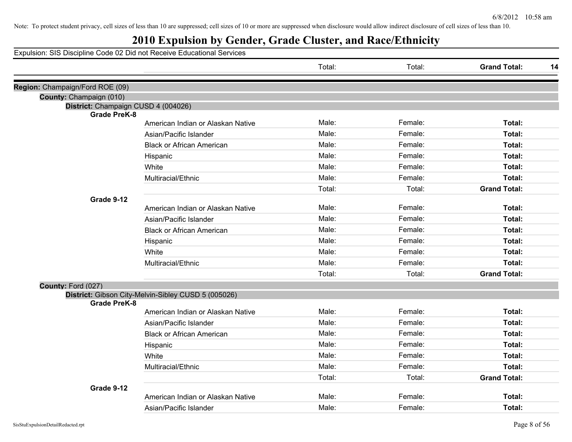## **2010 Expulsion by Gender, Grade Cluster, and Race/Ethnicity**

|                                     |                                                     | Total: | Total:  | <b>Grand Total:</b> | 14 |
|-------------------------------------|-----------------------------------------------------|--------|---------|---------------------|----|
| Region: Champaign/Ford ROE (09)     |                                                     |        |         |                     |    |
| County: Champaign (010)             |                                                     |        |         |                     |    |
| District: Champaign CUSD 4 (004026) |                                                     |        |         |                     |    |
| <b>Grade PreK-8</b>                 |                                                     |        |         |                     |    |
|                                     | American Indian or Alaskan Native                   | Male:  | Female: | Total:              |    |
|                                     | Asian/Pacific Islander                              | Male:  | Female: | Total:              |    |
|                                     | <b>Black or African American</b>                    | Male:  | Female: | Total:              |    |
|                                     | Hispanic                                            | Male:  | Female: | Total:              |    |
|                                     | White                                               | Male:  | Female: | Total:              |    |
|                                     | Multiracial/Ethnic                                  | Male:  | Female: | Total:              |    |
|                                     |                                                     | Total: | Total:  | <b>Grand Total:</b> |    |
| Grade 9-12                          |                                                     |        |         |                     |    |
|                                     | American Indian or Alaskan Native                   | Male:  | Female: | Total:              |    |
|                                     | Asian/Pacific Islander                              | Male:  | Female: | Total:              |    |
|                                     | <b>Black or African American</b>                    | Male:  | Female: | Total:              |    |
|                                     | Hispanic                                            | Male:  | Female: | Total:              |    |
|                                     | White                                               | Male:  | Female: | Total:              |    |
|                                     | Multiracial/Ethnic                                  | Male:  | Female: | Total:              |    |
|                                     |                                                     | Total: | Total:  | <b>Grand Total:</b> |    |
| County: Ford (027)                  |                                                     |        |         |                     |    |
| <b>Grade PreK-8</b>                 | District: Gibson City-Melvin-Sibley CUSD 5 (005026) |        |         |                     |    |
|                                     | American Indian or Alaskan Native                   | Male:  | Female: | Total:              |    |
|                                     | Asian/Pacific Islander                              | Male:  | Female: | Total:              |    |
|                                     | <b>Black or African American</b>                    | Male:  | Female: | Total:              |    |
|                                     | Hispanic                                            | Male:  | Female: | Total:              |    |
|                                     | White                                               | Male:  | Female: | Total:              |    |
|                                     | Multiracial/Ethnic                                  | Male:  | Female: | Total:              |    |
|                                     |                                                     | Total: | Total:  | <b>Grand Total:</b> |    |
| Grade 9-12                          |                                                     |        |         |                     |    |
|                                     | American Indian or Alaskan Native                   | Male:  | Female: | Total:              |    |
|                                     | Asian/Pacific Islander                              | Male:  | Female: | Total:              |    |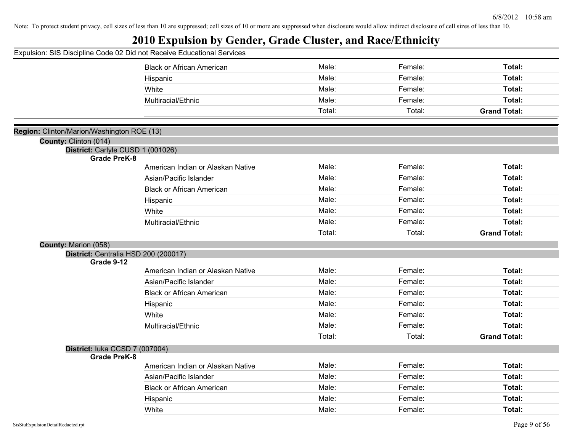|                                            | Expulsion: SIS Discipline Code 02 Did not Receive Educational Services |        |         |                     |
|--------------------------------------------|------------------------------------------------------------------------|--------|---------|---------------------|
|                                            | <b>Black or African American</b>                                       | Male:  | Female: | Total:              |
|                                            | Hispanic                                                               | Male:  | Female: | Total:              |
|                                            | White                                                                  | Male:  | Female: | Total:              |
|                                            | Multiracial/Ethnic                                                     | Male:  | Female: | Total:              |
|                                            |                                                                        | Total: | Total:  | <b>Grand Total:</b> |
| Region: Clinton/Marion/Washington ROE (13) |                                                                        |        |         |                     |
| County: Clinton (014)                      |                                                                        |        |         |                     |
| District: Carlyle CUSD 1 (001026)          |                                                                        |        |         |                     |
| <b>Grade PreK-8</b>                        |                                                                        |        |         |                     |
|                                            | American Indian or Alaskan Native                                      | Male:  | Female: | Total:              |
|                                            | Asian/Pacific Islander                                                 | Male:  | Female: | Total:              |
|                                            | <b>Black or African American</b>                                       | Male:  | Female: | Total:              |
|                                            | Hispanic                                                               | Male:  | Female: | Total:              |
|                                            | White                                                                  | Male:  | Female: | Total:              |
|                                            | Multiracial/Ethnic                                                     | Male:  | Female: | Total:              |
|                                            |                                                                        | Total: | Total:  | <b>Grand Total:</b> |
| County: Marion (058)                       |                                                                        |        |         |                     |
|                                            | District: Centralia HSD 200 (200017)                                   |        |         |                     |
| Grade 9-12                                 | American Indian or Alaskan Native                                      | Male:  | Female: | Total:              |
|                                            |                                                                        | Male:  | Female: | Total:              |
|                                            | Asian/Pacific Islander                                                 |        |         |                     |
|                                            | <b>Black or African American</b>                                       | Male:  | Female: | Total:              |
|                                            | Hispanic                                                               | Male:  | Female: | Total:              |
|                                            | White                                                                  | Male:  | Female: | Total:              |
|                                            | Multiracial/Ethnic                                                     | Male:  | Female: | Total:              |
|                                            |                                                                        | Total: | Total:  | <b>Grand Total:</b> |
| District: luka CCSD 7 (007004)             |                                                                        |        |         |                     |
| <b>Grade PreK-8</b>                        | American Indian or Alaskan Native                                      | Male:  | Female: | Total:              |
|                                            | Asian/Pacific Islander                                                 | Male:  | Female: | Total:              |
|                                            |                                                                        | Male:  |         |                     |
|                                            | <b>Black or African American</b>                                       |        | Female: | Total:              |
|                                            | Hispanic                                                               | Male:  | Female: | Total:              |
|                                            | White                                                                  | Male:  | Female: | Total:              |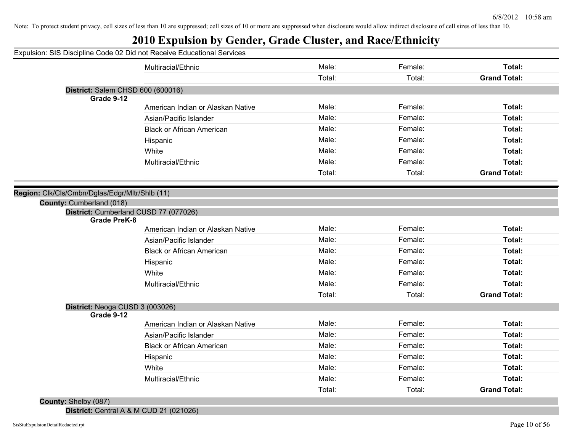## **2010 Expulsion by Gender, Grade Cluster, and Race/Ethnicity**

|                                                | Expulsion: SIS Discipline Code 02 Did not Receive Educational Services |        |         |                     |
|------------------------------------------------|------------------------------------------------------------------------|--------|---------|---------------------|
|                                                | Multiracial/Ethnic                                                     | Male:  | Female: | Total:              |
|                                                |                                                                        | Total: | Total:  | <b>Grand Total:</b> |
| District: Salem CHSD 600 (600016)              |                                                                        |        |         |                     |
| Grade 9-12                                     |                                                                        |        |         |                     |
|                                                | American Indian or Alaskan Native                                      | Male:  | Female: | Total:              |
|                                                | Asian/Pacific Islander                                                 | Male:  | Female: | Total:              |
|                                                | <b>Black or African American</b>                                       | Male:  | Female: | Total:              |
|                                                | Hispanic                                                               | Male:  | Female: | Total:              |
|                                                | White                                                                  | Male:  | Female: | Total:              |
|                                                | Multiracial/Ethnic                                                     | Male:  | Female: | Total:              |
|                                                |                                                                        | Total: | Total:  | <b>Grand Total:</b> |
|                                                |                                                                        |        |         |                     |
| Region: Clk/Cls/Cmbn/Dglas/Edgr/Mltr/Shlb (11) |                                                                        |        |         |                     |
| County: Cumberland (018)                       |                                                                        |        |         |                     |
| <b>Grade PreK-8</b>                            | District: Cumberland CUSD 77 (077026)                                  |        |         |                     |
|                                                | American Indian or Alaskan Native                                      | Male:  | Female: | Total:              |
|                                                | Asian/Pacific Islander                                                 | Male:  | Female: | Total:              |
|                                                | <b>Black or African American</b>                                       | Male:  | Female: | Total:              |
|                                                | Hispanic                                                               | Male:  | Female: | Total:              |
|                                                | White                                                                  | Male:  | Female: | Total:              |
|                                                | Multiracial/Ethnic                                                     | Male:  | Female: | Total:              |
|                                                |                                                                        | Total: | Total:  | <b>Grand Total:</b> |
| District: Neoga CUSD 3 (003026)                |                                                                        |        |         |                     |
| Grade 9-12                                     |                                                                        |        |         |                     |
|                                                | American Indian or Alaskan Native                                      | Male:  | Female: | Total:              |
|                                                | Asian/Pacific Islander                                                 | Male:  | Female: | Total:              |
|                                                | <b>Black or African American</b>                                       | Male:  | Female: | Total:              |
|                                                | Hispanic                                                               | Male:  | Female: | Total:              |
|                                                | White                                                                  | Male:  | Female: | Total:              |
|                                                | Multiracial/Ethnic                                                     | Male:  | Female: | Total:              |
|                                                |                                                                        | Total: | Total:  | <b>Grand Total:</b> |
| County: Shelby (087)                           |                                                                        |        |         |                     |

**District:** Central A & M CUD 21 (021026)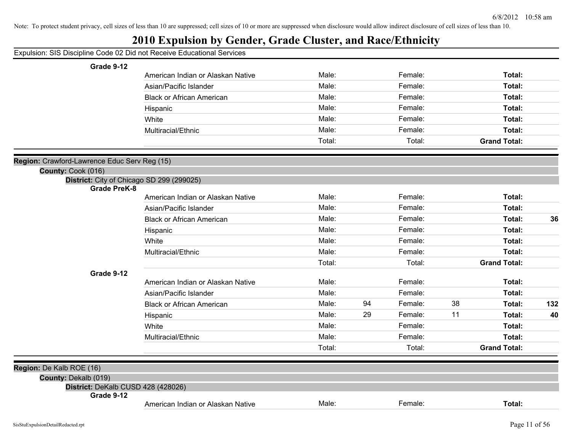| Expulsion: SIS Discipline Code 02 Did not Receive Educational Services |                                   |        |    |         |    |                     |     |
|------------------------------------------------------------------------|-----------------------------------|--------|----|---------|----|---------------------|-----|
| Grade 9-12                                                             |                                   |        |    |         |    |                     |     |
|                                                                        | American Indian or Alaskan Native | Male:  |    | Female: |    | Total:              |     |
|                                                                        | Asian/Pacific Islander            | Male:  |    | Female: |    | Total:              |     |
|                                                                        | <b>Black or African American</b>  | Male:  |    | Female: |    | Total:              |     |
|                                                                        | Hispanic                          | Male:  |    | Female: |    | Total:              |     |
|                                                                        | White                             | Male:  |    | Female: |    | Total:              |     |
|                                                                        | Multiracial/Ethnic                | Male:  |    | Female: |    | Total:              |     |
|                                                                        |                                   | Total: |    | Total:  |    | <b>Grand Total:</b> |     |
| Region: Crawford-Lawrence Educ Serv Reg (15)                           |                                   |        |    |         |    |                     |     |
| County: Cook (016)                                                     |                                   |        |    |         |    |                     |     |
| District: City of Chicago SD 299 (299025)                              |                                   |        |    |         |    |                     |     |
| <b>Grade PreK-8</b>                                                    |                                   |        |    |         |    |                     |     |
|                                                                        | American Indian or Alaskan Native | Male:  |    | Female: |    | Total:              |     |
|                                                                        | Asian/Pacific Islander            | Male:  |    | Female: |    | Total:              |     |
|                                                                        | <b>Black or African American</b>  | Male:  |    | Female: |    | Total:              | 36  |
|                                                                        | Hispanic                          | Male:  |    | Female: |    | Total:              |     |
|                                                                        | White                             | Male:  |    | Female: |    | Total:              |     |
|                                                                        | Multiracial/Ethnic                | Male:  |    | Female: |    | Total:              |     |
|                                                                        |                                   | Total: |    | Total:  |    | <b>Grand Total:</b> |     |
| Grade 9-12                                                             |                                   |        |    |         |    |                     |     |
|                                                                        | American Indian or Alaskan Native | Male:  |    | Female: |    | Total:              |     |
|                                                                        | Asian/Pacific Islander            | Male:  |    | Female: |    | Total:              |     |
|                                                                        | <b>Black or African American</b>  | Male:  | 94 | Female: | 38 | Total:              | 132 |
|                                                                        | Hispanic                          | Male:  | 29 | Female: | 11 | Total:              | 40  |
|                                                                        | White                             | Male:  |    | Female: |    | Total:              |     |
|                                                                        | Multiracial/Ethnic                | Male:  |    | Female: |    | Total:              |     |
|                                                                        |                                   | Total: |    | Total:  |    | <b>Grand Total:</b> |     |
| Region: De Kalb ROE (16)                                               |                                   |        |    |         |    |                     |     |
| County: Dekalb (019)                                                   |                                   |        |    |         |    |                     |     |
| District: DeKalb CUSD 428 (428026)                                     |                                   |        |    |         |    |                     |     |
| Grade 9-12                                                             | American Indian or Alaskan Native | Male:  |    | Female: |    | Total:              |     |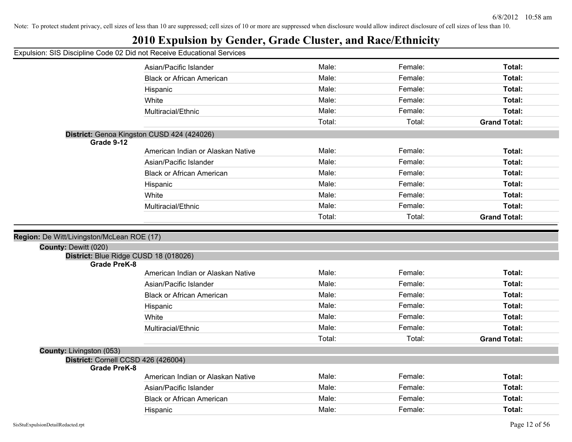## **2010 Expulsion by Gender, Grade Cluster, and Race/Ethnicity**

| Apaision. Old Discipling Ocac of Dia not Receive Educational Ochrices |                                            |        |         |                     |
|-----------------------------------------------------------------------|--------------------------------------------|--------|---------|---------------------|
|                                                                       | Asian/Pacific Islander                     | Male:  | Female: | Total:              |
|                                                                       | <b>Black or African American</b>           | Male:  | Female: | Total:              |
|                                                                       | Hispanic                                   | Male:  | Female: | Total:              |
|                                                                       | White                                      | Male:  | Female: | Total:              |
|                                                                       | Multiracial/Ethnic                         | Male:  | Female: | Total:              |
|                                                                       |                                            | Total: | Total:  | <b>Grand Total:</b> |
| Grade 9-12                                                            | District: Genoa Kingston CUSD 424 (424026) |        |         |                     |
|                                                                       | American Indian or Alaskan Native          | Male:  | Female: | Total:              |
|                                                                       | Asian/Pacific Islander                     | Male:  | Female: | Total:              |
|                                                                       | <b>Black or African American</b>           | Male:  | Female: | Total:              |
|                                                                       | Hispanic                                   | Male:  | Female: | Total:              |
|                                                                       | White                                      | Male:  | Female: | Total:              |
|                                                                       | Multiracial/Ethnic                         | Male:  | Female: | Total:              |
|                                                                       |                                            | Total: | Total:  | <b>Grand Total:</b> |
|                                                                       |                                            |        |         |                     |
| Region: De Witt/Livingston/McLean ROE (17)                            |                                            |        |         |                     |
| County: Dewitt (020)                                                  | District: Blue Ridge CUSD 18 (018026)      |        |         |                     |
| <b>Grade PreK-8</b>                                                   |                                            |        |         |                     |
|                                                                       | American Indian or Alaskan Native          | Male:  | Female: | Total:              |
|                                                                       | Asian/Pacific Islander                     | Male:  | Female: | Total:              |
|                                                                       | <b>Black or African American</b>           | Male:  | Female: | Total:              |
|                                                                       | Hispanic                                   | Male:  | Female: | Total:              |
|                                                                       | White                                      | Male:  | Female: | Total:              |
|                                                                       | Multiracial/Ethnic                         | Male:  | Female: | Total:              |
|                                                                       |                                            |        |         |                     |
|                                                                       |                                            | Total: | Total:  | <b>Grand Total:</b> |
| County: Livingston (053)                                              |                                            |        |         |                     |
| <b>Grade PreK-8</b>                                                   | District: Cornell CCSD 426 (426004)        |        |         |                     |
|                                                                       | American Indian or Alaskan Native          | Male:  | Female: | Total:              |
|                                                                       | Asian/Pacific Islander                     | Male:  | Female: | Total:              |
|                                                                       | <b>Black or African American</b>           | Male:  | Female: | Total:              |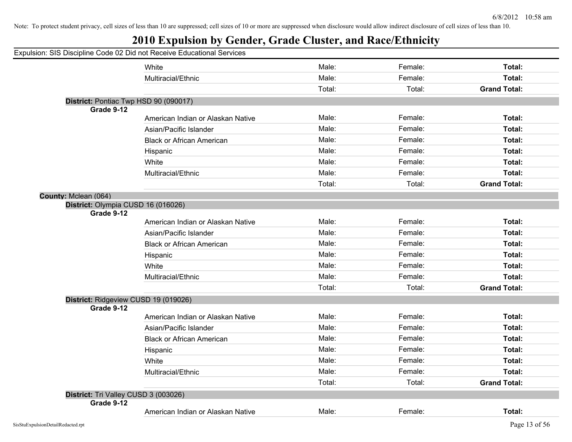Note: To protect student privacy, cell sizes of less than 10 are suppressed; cell sizes of 10 or more are suppressed when disclosure would allow indirect disclosure of cell sizes of less than 10.

|                                                  | Expulsion: SIS Discipline Code 02 Did not Receive Educational Services |        |         |                     |
|--------------------------------------------------|------------------------------------------------------------------------|--------|---------|---------------------|
|                                                  | White                                                                  | Male:  | Female: | Total:              |
|                                                  | Multiracial/Ethnic                                                     | Male:  | Female: | Total:              |
|                                                  |                                                                        | Total: | Total:  | <b>Grand Total:</b> |
|                                                  | District: Pontiac Twp HSD 90 (090017)                                  |        |         |                     |
| Grade 9-12                                       |                                                                        |        |         |                     |
|                                                  | American Indian or Alaskan Native                                      | Male:  | Female: | Total:              |
|                                                  | Asian/Pacific Islander                                                 | Male:  | Female: | Total:              |
|                                                  | <b>Black or African American</b>                                       | Male:  | Female: | Total:              |
|                                                  | Hispanic                                                               | Male:  | Female: | Total:              |
|                                                  | White                                                                  | Male:  | Female: | Total:              |
|                                                  | Multiracial/Ethnic                                                     | Male:  | Female: | Total:              |
|                                                  |                                                                        | Total: | Total:  | <b>Grand Total:</b> |
| County: Mclean (064)                             |                                                                        |        |         |                     |
| District: Olympia CUSD 16 (016026)<br>Grade 9-12 |                                                                        |        |         |                     |
|                                                  | American Indian or Alaskan Native                                      | Male:  | Female: | Total:              |
|                                                  | Asian/Pacific Islander                                                 | Male:  | Female: | Total:              |
|                                                  | <b>Black or African American</b>                                       | Male:  | Female: | Total:              |
|                                                  | Hispanic                                                               | Male:  | Female: | Total:              |
|                                                  | White                                                                  | Male:  | Female: | Total:              |
|                                                  | Multiracial/Ethnic                                                     | Male:  | Female: | Total:              |
|                                                  |                                                                        | Total: | Total:  | <b>Grand Total:</b> |
| Grade 9-12                                       | District: Ridgeview CUSD 19 (019026)                                   |        |         |                     |
|                                                  | American Indian or Alaskan Native                                      | Male:  | Female: | Total:              |
|                                                  | Asian/Pacific Islander                                                 | Male:  | Female: | Total:              |
|                                                  | <b>Black or African American</b>                                       | Male:  | Female: | Total:              |
|                                                  | Hispanic                                                               | Male:  | Female: | Total:              |
|                                                  | White                                                                  | Male:  | Female: | Total:              |
|                                                  | Multiracial/Ethnic                                                     | Male:  | Female: | Total:              |
|                                                  |                                                                        | Total: | Total:  | <b>Grand Total:</b> |
| District: Tri Valley CUSD 3 (003026)             |                                                                        |        |         |                     |
| Grade 9-12                                       |                                                                        |        |         |                     |
|                                                  | American Indian or Alaskan Native                                      | Male:  | Female: | Total:              |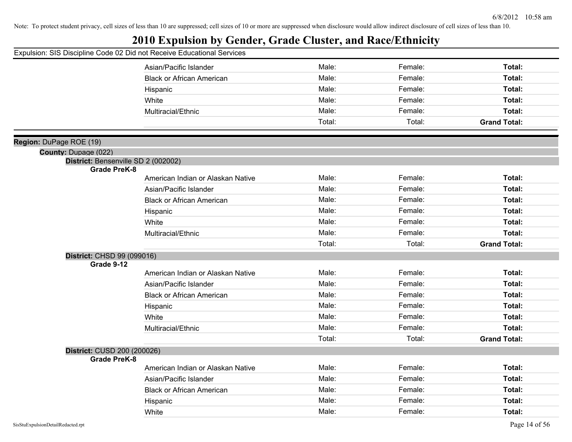## **2010 Expulsion by Gender, Grade Cluster, and Race/Ethnicity**

|                                                            | Asian/Pacific Islander            | Male:  | Female: | Total:              |
|------------------------------------------------------------|-----------------------------------|--------|---------|---------------------|
|                                                            | <b>Black or African American</b>  | Male:  | Female: | Total:              |
|                                                            | Hispanic                          | Male:  | Female: | Total:              |
|                                                            | White                             | Male:  | Female: | Total:              |
|                                                            | Multiracial/Ethnic                | Male:  | Female: | Total:              |
|                                                            |                                   | Total: | Total:  | <b>Grand Total:</b> |
|                                                            |                                   |        |         |                     |
| Region: DuPage ROE (19)                                    |                                   |        |         |                     |
| County: Dupage (022)                                       |                                   |        |         |                     |
| District: Bensenville SD 2 (002002)<br><b>Grade PreK-8</b> |                                   |        |         |                     |
|                                                            | American Indian or Alaskan Native | Male:  | Female: | Total:              |
|                                                            | Asian/Pacific Islander            | Male:  | Female: | Total:              |
|                                                            | <b>Black or African American</b>  | Male:  | Female: | Total:              |
|                                                            | Hispanic                          | Male:  | Female: | Total:              |
|                                                            | White                             | Male:  | Female: | Total:              |
|                                                            | Multiracial/Ethnic                | Male:  | Female: | Total:              |
|                                                            |                                   | Total: | Total:  | <b>Grand Total:</b> |
| District: CHSD 99 (099016)                                 |                                   |        |         |                     |
| Grade 9-12                                                 |                                   |        |         |                     |
|                                                            | American Indian or Alaskan Native | Male:  | Female: | Total:              |
|                                                            | Asian/Pacific Islander            | Male:  | Female: | Total:              |
|                                                            | <b>Black or African American</b>  | Male:  | Female: | Total:              |
|                                                            | Hispanic                          | Male:  | Female: | Total:              |
|                                                            | White                             | Male:  | Female: | Total:              |
|                                                            | Multiracial/Ethnic                | Male:  | Female: | Total:              |
|                                                            |                                   | Total: | Total:  | <b>Grand Total:</b> |
| District: CUSD 200 (200026)                                |                                   |        |         |                     |
| <b>Grade PreK-8</b>                                        |                                   |        |         |                     |
|                                                            | American Indian or Alaskan Native | Male:  | Female: | Total:              |
|                                                            | Asian/Pacific Islander            | Male:  | Female: | Total:              |
|                                                            | <b>Black or African American</b>  | Male:  | Female: | Total:              |
|                                                            | Hispanic                          | Male:  | Female: | Total:              |
|                                                            | White                             | Male:  | Female: | Total:              |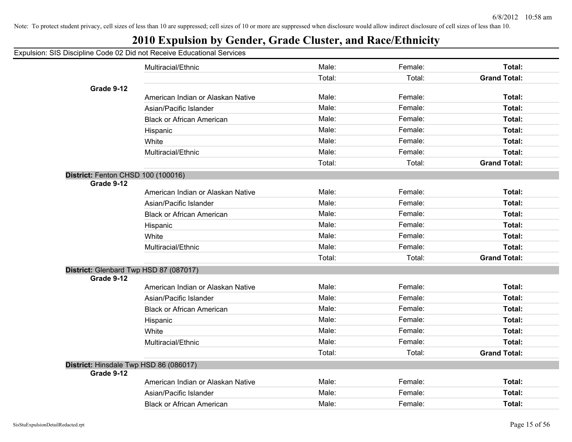|  |  |  |  | Expulsion: SIS Discipline Code 02 Did not Receive Educational Services |  |  |
|--|--|--|--|------------------------------------------------------------------------|--|--|
|  |  |  |  |                                                                        |  |  |

|                                        | Multiracial/Ethnic                     | Male:  | Female: | Total:              |
|----------------------------------------|----------------------------------------|--------|---------|---------------------|
|                                        |                                        | Total: | Total:  | <b>Grand Total:</b> |
| Grade 9-12                             |                                        |        |         |                     |
|                                        | American Indian or Alaskan Native      | Male:  | Female: | Total:              |
|                                        | Asian/Pacific Islander                 | Male:  | Female: | Total:              |
|                                        | <b>Black or African American</b>       | Male:  | Female: | Total:              |
|                                        | Hispanic                               | Male:  | Female: | Total:              |
|                                        | White                                  | Male:  | Female: | Total:              |
|                                        | Multiracial/Ethnic                     | Male:  | Female: | Total:              |
|                                        |                                        | Total: | Total:  | <b>Grand Total:</b> |
| District: Fenton CHSD 100 (100016)     |                                        |        |         |                     |
| Grade 9-12                             | American Indian or Alaskan Native      | Male:  | Female: | Total:              |
|                                        | Asian/Pacific Islander                 | Male:  | Female: | Total:              |
|                                        |                                        |        |         |                     |
|                                        | <b>Black or African American</b>       | Male:  | Female: | Total:              |
|                                        | Hispanic                               | Male:  | Female: | Total:              |
|                                        | White                                  | Male:  | Female: | Total:              |
|                                        | Multiracial/Ethnic                     | Male:  | Female: | Total:              |
|                                        |                                        | Total: | Total:  | <b>Grand Total:</b> |
| Grade 9-12                             | District: Glenbard Twp HSD 87 (087017) |        |         |                     |
|                                        | American Indian or Alaskan Native      | Male:  | Female: | Total:              |
|                                        | Asian/Pacific Islander                 | Male:  | Female: | Total:              |
|                                        | <b>Black or African American</b>       | Male:  | Female: | Total:              |
|                                        | Hispanic                               | Male:  | Female: | Total:              |
|                                        | White                                  | Male:  | Female: | Total:              |
|                                        | Multiracial/Ethnic                     | Male:  | Female: | Total:              |
|                                        |                                        | Total: | Total:  | <b>Grand Total:</b> |
| District: Hinsdale Twp HSD 86 (086017) |                                        |        |         |                     |
| Grade 9-12                             |                                        |        |         |                     |
|                                        | American Indian or Alaskan Native      | Male:  | Female: | Total:              |
|                                        | Asian/Pacific Islander                 | Male:  | Female: | Total:              |
|                                        | <b>Black or African American</b>       | Male:  | Female: | Total:              |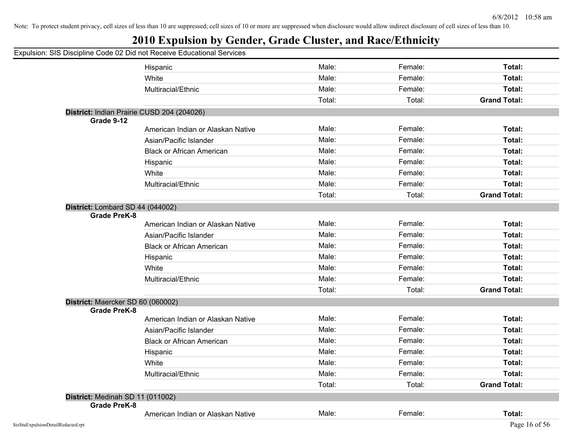| Expulsion: SIS Discipline Code 02 Did not Receive Educational Services |        |         |                     |
|------------------------------------------------------------------------|--------|---------|---------------------|
| Hispanic                                                               | Male:  | Female: | Total:              |
| White                                                                  | Male:  | Female: | Total:              |
| Multiracial/Ethnic                                                     | Male:  | Female: | Total:              |
|                                                                        | Total: | Total:  | <b>Grand Total:</b> |
| District: Indian Prairie CUSD 204 (204026)                             |        |         |                     |
| Grade 9-12<br>American Indian or Alaskan Native                        | Male:  | Female: | Total:              |
|                                                                        | Male:  | Female: | Total:              |
| Asian/Pacific Islander                                                 |        |         |                     |
| <b>Black or African American</b>                                       | Male:  | Female: | Total:              |
| Hispanic                                                               | Male:  | Female: | Total:              |
| White                                                                  | Male:  | Female: | Total:              |
| Multiracial/Ethnic                                                     | Male:  | Female: | Total:              |
|                                                                        | Total: | Total:  | <b>Grand Total:</b> |
| District: Lombard SD 44 (044002)                                       |        |         |                     |
| <b>Grade PreK-8</b><br>American Indian or Alaskan Native               | Male:  | Female: | Total:              |
| Asian/Pacific Islander                                                 | Male:  | Female: | Total:              |
| <b>Black or African American</b>                                       | Male:  | Female: | Total:              |
| Hispanic                                                               | Male:  | Female: | Total:              |
| White                                                                  | Male:  | Female: | Total:              |
| Multiracial/Ethnic                                                     | Male:  | Female: | Total:              |
|                                                                        | Total: | Total:  | <b>Grand Total:</b> |
| District: Maercker SD 60 (060002)                                      |        |         |                     |
| <b>Grade PreK-8</b>                                                    |        |         |                     |
| American Indian or Alaskan Native                                      | Male:  | Female: | Total:              |
| Asian/Pacific Islander                                                 | Male:  | Female: | Total:              |
| <b>Black or African American</b>                                       | Male:  | Female: | Total:              |
| Hispanic                                                               | Male:  | Female: | Total:              |
| White                                                                  | Male:  | Female: | Total:              |
| Multiracial/Ethnic                                                     | Male:  | Female: | <b>Total:</b>       |
|                                                                        | Total: | Total:  | <b>Grand Total:</b> |
| District: Medinah SD 11 (011002)                                       |        |         |                     |
| Grade PreK-8                                                           | Male:  |         | Total:              |
| American Indian or Alaskan Native                                      |        | Female: |                     |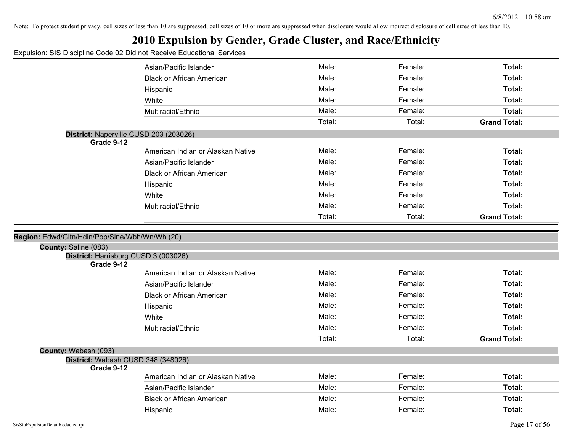## **2010 Expulsion by Gender, Grade Cluster, and Race/Ethnicity**

| paioidil. Oio Diodipilito ocae de Dia Hot Rocorro Educational |                                        |        |         |                     |
|---------------------------------------------------------------|----------------------------------------|--------|---------|---------------------|
|                                                               | Asian/Pacific Islander                 | Male:  | Female: | Total:              |
|                                                               | <b>Black or African American</b>       | Male:  | Female: | Total:              |
|                                                               | Hispanic                               | Male:  | Female: | Total:              |
|                                                               | White                                  | Male:  | Female: | Total:              |
|                                                               | Multiracial/Ethnic                     | Male:  | Female: | Total:              |
|                                                               |                                        | Total: | Total:  | <b>Grand Total:</b> |
| Grade 9-12                                                    | District: Naperville CUSD 203 (203026) |        |         |                     |
|                                                               | American Indian or Alaskan Native      | Male:  | Female: | Total:              |
|                                                               | Asian/Pacific Islander                 | Male:  | Female: | Total:              |
|                                                               | <b>Black or African American</b>       | Male:  | Female: | Total:              |
|                                                               | Hispanic                               | Male:  | Female: | Total:              |
|                                                               | White                                  | Male:  | Female: | Total:              |
|                                                               | Multiracial/Ethnic                     | Male:  | Female: | Total:              |
|                                                               |                                        | Total: | Total:  | <b>Grand Total:</b> |
|                                                               |                                        |        |         |                     |
| Region: Edwd/Gltn/Hdin/Pop/Slne/Wbh/Wn/Wh (20)                |                                        |        |         |                     |
| County: Saline (083)<br>District: Harrisburg CUSD 3 (003026)  |                                        |        |         |                     |
| Grade 9-12                                                    |                                        |        |         |                     |
|                                                               | American Indian or Alaskan Native      | Male:  | Female: | Total:              |
|                                                               | Asian/Pacific Islander                 | Male:  | Female: | Total:              |
|                                                               | <b>Black or African American</b>       | Male:  | Female: | Total:              |
|                                                               | Hispanic                               | Male:  | Female: | Total:              |
|                                                               | White                                  | Male:  | Female: | Total:              |
|                                                               | Multiracial/Ethnic                     | Male:  | Female: | Total:              |
|                                                               |                                        | Total: | Total:  | <b>Grand Total:</b> |
| County: Wabash (093)                                          |                                        |        |         |                     |
| District: Wabash CUSD 348 (348026)<br>Grade 9-12              |                                        |        |         |                     |
|                                                               |                                        |        |         |                     |
|                                                               | American Indian or Alaskan Native      | Male:  | Female: | Total:              |
|                                                               | Asian/Pacific Islander                 | Male:  | Female: | Total:              |
|                                                               | <b>Black or African American</b>       | Male:  | Female: | Total:              |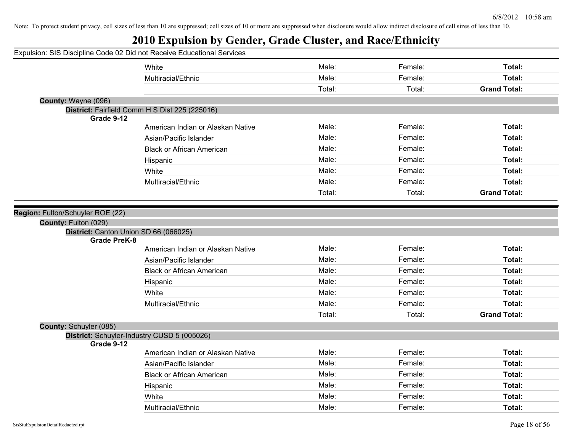|                                  | Expulsion: SIS Discipline Code 02 Did not Receive Educational Services |        |         |                     |
|----------------------------------|------------------------------------------------------------------------|--------|---------|---------------------|
|                                  | White                                                                  | Male:  | Female: | Total:              |
|                                  | Multiracial/Ethnic                                                     | Male:  | Female: | Total:              |
|                                  |                                                                        | Total: | Total:  | <b>Grand Total:</b> |
| County: Wayne (096)              |                                                                        |        |         |                     |
|                                  | District: Fairfield Comm H S Dist 225 (225016)                         |        |         |                     |
| Grade 9-12                       | American Indian or Alaskan Native                                      | Male:  | Female: | Total:              |
|                                  | Asian/Pacific Islander                                                 | Male:  | Female: | Total:              |
|                                  |                                                                        | Male:  | Female: |                     |
|                                  | <b>Black or African American</b>                                       | Male:  | Female: | Total:              |
|                                  | Hispanic                                                               |        |         | Total:              |
|                                  | White                                                                  | Male:  | Female: | Total:              |
|                                  | Multiracial/Ethnic                                                     | Male:  | Female: | Total:              |
|                                  |                                                                        | Total: | Total:  | <b>Grand Total:</b> |
| Region: Fulton/Schuyler ROE (22) |                                                                        |        |         |                     |
| County: Fulton (029)             |                                                                        |        |         |                     |
|                                  | District: Canton Union SD 66 (066025)                                  |        |         |                     |
| <b>Grade PreK-8</b>              |                                                                        |        |         |                     |
|                                  | American Indian or Alaskan Native                                      | Male:  | Female: | Total:              |
|                                  | Asian/Pacific Islander                                                 | Male:  | Female: | Total:              |
|                                  | <b>Black or African American</b>                                       | Male:  | Female: | Total:              |
|                                  | Hispanic                                                               | Male:  | Female: | Total:              |
|                                  | White                                                                  | Male:  | Female: | Total:              |
|                                  | Multiracial/Ethnic                                                     | Male:  | Female: | Total:              |
|                                  |                                                                        | Total: | Total:  | <b>Grand Total:</b> |
| <b>County: Schuyler (085)</b>    |                                                                        |        |         |                     |
|                                  | District: Schuyler-Industry CUSD 5 (005026)                            |        |         |                     |
| Grade 9-12                       |                                                                        | Male:  | Female: | Total:              |
|                                  | American Indian or Alaskan Native                                      |        |         | Total:              |
|                                  | Asian/Pacific Islander                                                 | Male:  | Female: |                     |
|                                  | <b>Black or African American</b>                                       | Male:  | Female: | Total:              |
|                                  | Hispanic                                                               | Male:  | Female: | Total:              |
|                                  | White                                                                  | Male:  | Female: | Total:              |
|                                  | Multiracial/Ethnic                                                     | Male:  | Female: | Total:              |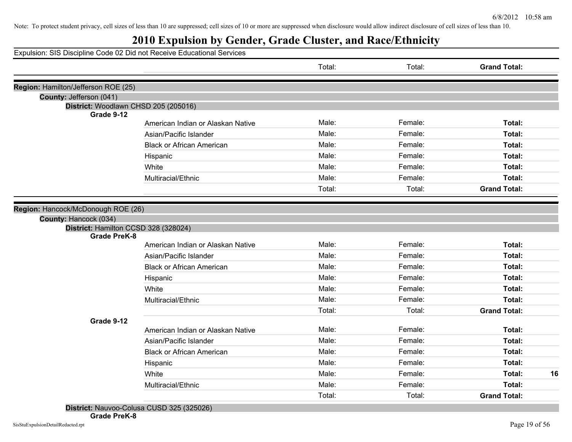## **2010 Expulsion by Gender, Grade Cluster, and Race/Ethnicity**

Expulsion: SIS Discipline Code 02 Did not Receive Educational Services

|                                      |                                   | Total: | Total:  | <b>Grand Total:</b> |
|--------------------------------------|-----------------------------------|--------|---------|---------------------|
| Region: Hamilton/Jefferson ROE (25)  |                                   |        |         |                     |
| County: Jefferson (041)              |                                   |        |         |                     |
| District: Woodlawn CHSD 205 (205016) |                                   |        |         |                     |
| Grade 9-12                           |                                   |        |         |                     |
|                                      | American Indian or Alaskan Native | Male:  | Female: | Total:              |
|                                      | Asian/Pacific Islander            | Male:  | Female: | Total:              |
|                                      | <b>Black or African American</b>  | Male:  | Female: | Total:              |
|                                      | Hispanic                          | Male:  | Female: | Total:              |
|                                      | White                             | Male:  | Female: | Total:              |
|                                      | Multiracial/Ethnic                | Male:  | Female: | Total:              |
|                                      |                                   | Total: | Total:  | <b>Grand Total:</b> |
| Region: Hancock/McDonough ROE (26)   |                                   |        |         |                     |
| County: Hancock (034)                |                                   |        |         |                     |
| District: Hamilton CCSD 328 (328024) |                                   |        |         |                     |
| <b>Grade PreK-8</b>                  |                                   |        |         |                     |
|                                      | American Indian or Alaskan Native | Male:  | Female: | Total:              |
|                                      | Asian/Pacific Islander            | Male:  | Female: | Total:              |
|                                      | <b>Black or African American</b>  | Male:  | Female: | Total:              |
|                                      | Hispanic                          | Male:  | Female: | Total:              |
|                                      | White                             | Male:  | Female: | Total:              |
|                                      | Multiracial/Ethnic                | Male:  | Female: | Total:              |
|                                      |                                   | Total: | Total:  | <b>Grand Total:</b> |
| Grade 9-12                           |                                   |        |         |                     |
|                                      | American Indian or Alaskan Native | Male:  | Female: | Total:              |
|                                      | Asian/Pacific Islander            | Male:  | Female: | Total:              |
|                                      | <b>Black or African American</b>  | Male:  | Female: | Total:              |
|                                      | Hispanic                          | Male:  | Female: | Total:              |
|                                      | White                             | Male:  | Female: | Total:<br>16        |
|                                      | Multiracial/Ethnic                | Male:  | Female: | Total:              |
|                                      |                                   | Total: | Total:  | <b>Grand Total:</b> |

**District:** Nauvoo-Colusa CUSD 325 (325026)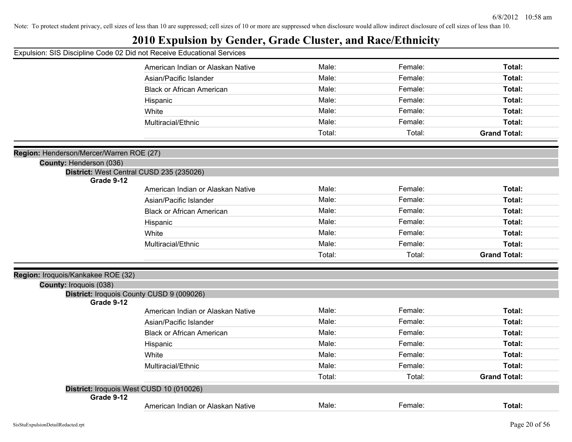|                                          | Expulsion: SIS Discipline Code 02 Did not Receive Educational Services |        |         |                     |
|------------------------------------------|------------------------------------------------------------------------|--------|---------|---------------------|
|                                          | American Indian or Alaskan Native                                      | Male:  | Female: | Total:              |
|                                          | Asian/Pacific Islander                                                 | Male:  | Female: | Total:              |
|                                          | <b>Black or African American</b>                                       | Male:  | Female: | Total:              |
|                                          | Hispanic                                                               | Male:  | Female: | Total:              |
|                                          | White                                                                  | Male:  | Female: | Total:              |
|                                          | Multiracial/Ethnic                                                     | Male:  | Female: | Total:              |
|                                          |                                                                        | Total: | Total:  | <b>Grand Total:</b> |
|                                          |                                                                        |        |         |                     |
| Region: Henderson/Mercer/Warren ROE (27) |                                                                        |        |         |                     |
| County: Henderson (036)                  | District: West Central CUSD 235 (235026)                               |        |         |                     |
| Grade 9-12                               |                                                                        |        |         |                     |
|                                          | American Indian or Alaskan Native                                      | Male:  | Female: | Total:              |
|                                          | Asian/Pacific Islander                                                 | Male:  | Female: | Total:              |
|                                          | <b>Black or African American</b>                                       | Male:  | Female: | Total:              |
|                                          | Hispanic                                                               | Male:  | Female: | Total:              |
|                                          | White                                                                  | Male:  | Female: | Total:              |
|                                          | Multiracial/Ethnic                                                     | Male:  | Female: | Total:              |
|                                          |                                                                        | Total: | Total:  | <b>Grand Total:</b> |
|                                          |                                                                        |        |         |                     |
| Region: Iroquois/Kankakee ROE (32)       |                                                                        |        |         |                     |
| <b>County: Iroquois (038)</b>            | District: Iroquois County CUSD 9 (009026)                              |        |         |                     |
| Grade 9-12                               |                                                                        |        |         |                     |
|                                          | American Indian or Alaskan Native                                      | Male:  | Female: | Total:              |
|                                          | Asian/Pacific Islander                                                 | Male:  | Female: | Total:              |
|                                          | <b>Black or African American</b>                                       | Male:  | Female: | Total:              |
|                                          | Hispanic                                                               | Male:  | Female: | Total:              |
|                                          | White                                                                  | Male:  | Female: | Total:              |
|                                          | Multiracial/Ethnic                                                     | Male:  | Female: | Total:              |
|                                          |                                                                        | Total: | Total:  | <b>Grand Total:</b> |
|                                          | District: Iroquois West CUSD 10 (010026)                               |        |         |                     |
| Grade 9-12                               |                                                                        |        |         |                     |
|                                          | American Indian or Alaskan Native                                      | Male:  | Female: | Total:              |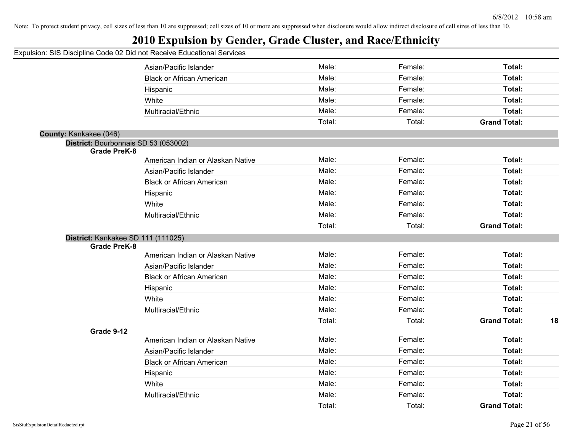## **2010 Expulsion by Gender, Grade Cluster, and Race/Ethnicity**

|                                      | Asian/Pacific Islander            | Male:  | Female: | Total:              |    |
|--------------------------------------|-----------------------------------|--------|---------|---------------------|----|
|                                      | <b>Black or African American</b>  | Male:  | Female: | Total:              |    |
|                                      | Hispanic                          | Male:  | Female: | Total:              |    |
|                                      | White                             | Male:  | Female: | Total:              |    |
|                                      | Multiracial/Ethnic                | Male:  | Female: | Total:              |    |
|                                      |                                   | Total: | Total:  | <b>Grand Total:</b> |    |
| County: Kankakee (046)               |                                   |        |         |                     |    |
| District: Bourbonnais SD 53 (053002) |                                   |        |         |                     |    |
| <b>Grade PreK-8</b>                  |                                   |        |         |                     |    |
|                                      | American Indian or Alaskan Native | Male:  | Female: | Total:              |    |
|                                      | Asian/Pacific Islander            | Male:  | Female: | Total:              |    |
|                                      | <b>Black or African American</b>  | Male:  | Female: | Total:              |    |
|                                      | Hispanic                          | Male:  | Female: | Total:              |    |
|                                      | White                             | Male:  | Female: | Total:              |    |
|                                      | Multiracial/Ethnic                | Male:  | Female: | Total:              |    |
|                                      |                                   | Total: | Total:  | <b>Grand Total:</b> |    |
| District: Kankakee SD 111 (111025)   |                                   |        |         |                     |    |
| <b>Grade PreK-8</b>                  | American Indian or Alaskan Native | Male:  | Female: | Total:              |    |
|                                      | Asian/Pacific Islander            | Male:  | Female: | Total:              |    |
|                                      | <b>Black or African American</b>  | Male:  | Female: | Total:              |    |
|                                      | Hispanic                          | Male:  | Female: | Total:              |    |
|                                      | White                             | Male:  | Female: | Total:              |    |
|                                      | Multiracial/Ethnic                | Male:  | Female: | Total:              |    |
|                                      |                                   | Total: | Total:  | <b>Grand Total:</b> | 18 |
| Grade 9-12                           |                                   |        |         |                     |    |
|                                      | American Indian or Alaskan Native | Male:  | Female: | Total:              |    |
|                                      | Asian/Pacific Islander            | Male:  | Female: | Total:              |    |
|                                      | <b>Black or African American</b>  | Male:  | Female: | Total:              |    |
|                                      | Hispanic                          | Male:  | Female: | Total:              |    |
|                                      | White                             | Male:  | Female: | Total:              |    |
|                                      | Multiracial/Ethnic                | Male:  | Female: | Total:              |    |
|                                      |                                   | Total: | Total:  | <b>Grand Total:</b> |    |
|                                      |                                   |        |         |                     |    |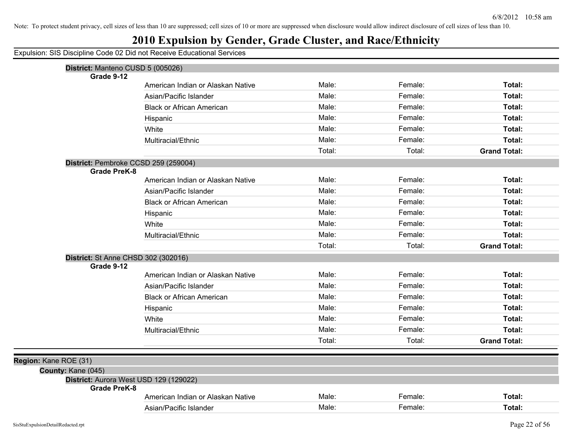## **2010 Expulsion by Gender, Grade Cluster, and Race/Ethnicity**

| District: Manteno CUSD 5 (005026)<br>Grade 9-12 |                                   |        |         |                     |
|-------------------------------------------------|-----------------------------------|--------|---------|---------------------|
|                                                 | American Indian or Alaskan Native | Male:  | Female: | Total:              |
|                                                 | Asian/Pacific Islander            | Male:  | Female: | Total:              |
|                                                 | <b>Black or African American</b>  | Male:  | Female: | Total:              |
|                                                 | Hispanic                          | Male:  | Female: | Total:              |
|                                                 | White                             | Male:  | Female: | Total:              |
|                                                 | Multiracial/Ethnic                | Male:  | Female: | Total:              |
|                                                 |                                   | Total: | Total:  | <b>Grand Total:</b> |
| District: Pembroke CCSD 259 (259004)            |                                   |        |         |                     |
| <b>Grade PreK-8</b>                             |                                   |        |         |                     |
|                                                 | American Indian or Alaskan Native | Male:  | Female: | Total:              |
|                                                 | Asian/Pacific Islander            | Male:  | Female: | Total:              |
|                                                 | <b>Black or African American</b>  | Male:  | Female: | Total:              |
|                                                 | Hispanic                          | Male:  | Female: | Total:              |
|                                                 | White                             | Male:  | Female: | Total:              |
|                                                 | Multiracial/Ethnic                | Male:  | Female: | Total:              |
|                                                 |                                   | Total: | Total:  | <b>Grand Total:</b> |
| District: St Anne CHSD 302 (302016)             |                                   |        |         |                     |
| Grade 9-12                                      | American Indian or Alaskan Native | Male:  | Female: | Total:              |
|                                                 | Asian/Pacific Islander            | Male:  | Female: | Total:              |
|                                                 | <b>Black or African American</b>  | Male:  | Female: | Total:              |
|                                                 |                                   | Male:  | Female: | Total:              |
|                                                 | Hispanic                          | Male:  | Female: | Total:              |
|                                                 | White<br>Multiracial/Ethnic       | Male:  | Female: | Total:              |
|                                                 |                                   | Total: | Total:  | <b>Grand Total:</b> |
|                                                 |                                   |        |         |                     |
| Region: Kane ROE (31)                           |                                   |        |         |                     |
| County: Kane (045)                              |                                   |        |         |                     |
| District: Aurora West USD 129 (129022)          |                                   |        |         |                     |
| <b>Grade PreK-8</b>                             |                                   |        |         |                     |
|                                                 | American Indian or Alaskan Native | Male:  | Female: | Total:              |
|                                                 | Asian/Pacific Islander            | Male:  | Female: | Total:              |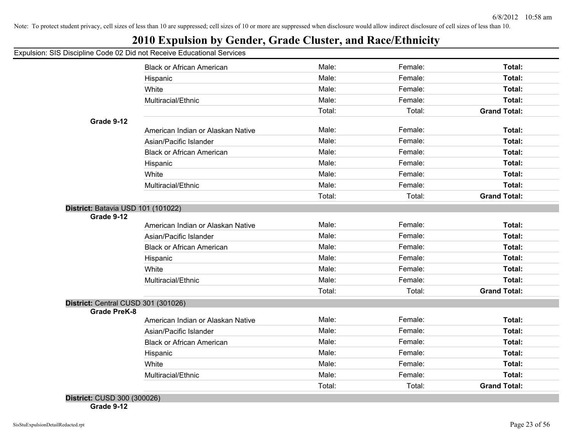## **2010 Expulsion by Gender, Grade Cluster, and Race/Ethnicity**

### Expulsion: SIS Discipline Code 02 Did not Receive Educational Services

|                                                  | <b>Black or African American</b>  | Male:  | Female: | Total:              |
|--------------------------------------------------|-----------------------------------|--------|---------|---------------------|
|                                                  | Hispanic                          | Male:  | Female: | Total:              |
|                                                  | White                             | Male:  | Female: | Total:              |
|                                                  | Multiracial/Ethnic                | Male:  | Female: | Total:              |
|                                                  |                                   | Total: | Total:  | <b>Grand Total:</b> |
| Grade 9-12                                       |                                   |        |         |                     |
|                                                  | American Indian or Alaskan Native | Male:  | Female: | Total:              |
|                                                  | Asian/Pacific Islander            | Male:  | Female: | Total:              |
|                                                  | <b>Black or African American</b>  | Male:  | Female: | Total:              |
|                                                  | Hispanic                          | Male:  | Female: | Total:              |
|                                                  | White                             | Male:  | Female: | Total:              |
|                                                  | Multiracial/Ethnic                | Male:  | Female: | Total:              |
|                                                  |                                   | Total: | Total:  | <b>Grand Total:</b> |
| District: Batavia USD 101 (101022)<br>Grade 9-12 |                                   |        |         |                     |
|                                                  | American Indian or Alaskan Native | Male:  | Female: | Total:              |
|                                                  | Asian/Pacific Islander            | Male:  | Female: | Total:              |
|                                                  | <b>Black or African American</b>  | Male:  | Female: | Total:              |
|                                                  | Hispanic                          | Male:  | Female: | Total:              |
|                                                  | White                             | Male:  | Female: | Total:              |
|                                                  | Multiracial/Ethnic                | Male:  | Female: | Total:              |
|                                                  |                                   | Total: | Total:  | <b>Grand Total:</b> |
| District: Central CUSD 301 (301026)              |                                   |        |         |                     |
| <b>Grade PreK-8</b>                              | American Indian or Alaskan Native | Male:  | Female: | Total:              |
|                                                  | Asian/Pacific Islander            | Male:  | Female: | Total:              |
|                                                  | <b>Black or African American</b>  | Male:  | Female: | Total:              |
|                                                  | Hispanic                          | Male:  | Female: | Total:              |
|                                                  | White                             | Male:  | Female: | Total:              |
|                                                  | Multiracial/Ethnic                | Male:  | Female: | Total:              |
|                                                  |                                   |        |         |                     |

**Grade 9-12**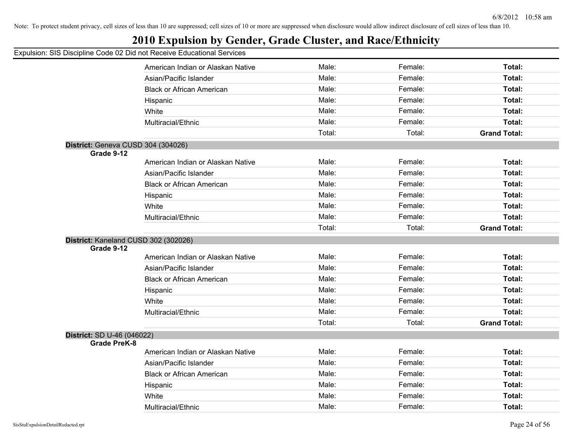## **2010 Expulsion by Gender, Grade Cluster, and Race/Ethnicity**

|                            | American Indian or Alaskan Native    | Male:  | Female: | Total:              |
|----------------------------|--------------------------------------|--------|---------|---------------------|
|                            | Asian/Pacific Islander               | Male:  | Female: | Total:              |
|                            | <b>Black or African American</b>     | Male:  | Female: | Total:              |
|                            | Hispanic                             | Male:  | Female: | Total:              |
|                            | White                                | Male:  | Female: | Total:              |
|                            | Multiracial/Ethnic                   | Male:  | Female: | Total:              |
|                            |                                      | Total: | Total:  | <b>Grand Total:</b> |
|                            | District: Geneva CUSD 304 (304026)   |        |         |                     |
| Grade 9-12                 |                                      |        |         |                     |
|                            | American Indian or Alaskan Native    | Male:  | Female: | Total:              |
|                            | Asian/Pacific Islander               | Male:  | Female: | Total:              |
|                            | <b>Black or African American</b>     | Male:  | Female: | Total:              |
|                            | Hispanic                             | Male:  | Female: | Total:              |
|                            | White                                | Male:  | Female: | Total:              |
|                            | Multiracial/Ethnic                   | Male:  | Female: | Total:              |
|                            |                                      | Total: | Total:  | <b>Grand Total:</b> |
|                            | District: Kaneland CUSD 302 (302026) |        |         |                     |
| Grade 9-12                 |                                      |        |         |                     |
|                            | American Indian or Alaskan Native    | Male:  | Female: | Total:              |
|                            | Asian/Pacific Islander               | Male:  | Female: | Total:              |
|                            | <b>Black or African American</b>     | Male:  | Female: | Total:              |
|                            | Hispanic                             | Male:  | Female: | Total:              |
|                            | White                                | Male:  | Female: | Total:              |
|                            | Multiracial/Ethnic                   | Male:  | Female: | Total:              |
|                            |                                      | Total: | Total:  | <b>Grand Total:</b> |
| District: SD U-46 (046022) |                                      |        |         |                     |
| <b>Grade PreK-8</b>        |                                      |        |         |                     |
|                            | American Indian or Alaskan Native    | Male:  | Female: | Total:              |
|                            | Asian/Pacific Islander               | Male:  | Female: | Total:              |
|                            | <b>Black or African American</b>     | Male:  | Female: | Total:              |
|                            | Hispanic                             | Male:  | Female: | Total:              |
|                            | White                                | Male:  | Female: | Total:              |
|                            | Multiracial/Ethnic                   | Male:  | Female: | Total:              |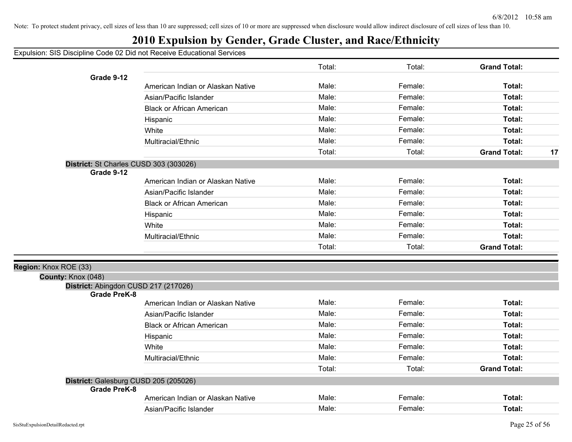## **2010 Expulsion by Gender, Grade Cluster, and Race/Ethnicity**

|                                                             |                                   | Total: | Total:  | <b>Grand Total:</b> |    |
|-------------------------------------------------------------|-----------------------------------|--------|---------|---------------------|----|
| Grade 9-12                                                  |                                   |        |         |                     |    |
|                                                             | American Indian or Alaskan Native | Male:  | Female: | Total:              |    |
|                                                             | Asian/Pacific Islander            | Male:  | Female: | Total:              |    |
|                                                             | <b>Black or African American</b>  | Male:  | Female: | Total:              |    |
|                                                             | Hispanic                          | Male:  | Female: | Total:              |    |
|                                                             | White                             | Male:  | Female: | Total:              |    |
|                                                             | Multiracial/Ethnic                | Male:  | Female: | Total:              |    |
|                                                             |                                   | Total: | Total:  | <b>Grand Total:</b> | 17 |
| District: St Charles CUSD 303 (303026)<br>Grade 9-12        |                                   |        |         |                     |    |
|                                                             | American Indian or Alaskan Native | Male:  | Female: | Total:              |    |
|                                                             | Asian/Pacific Islander            | Male:  | Female: | Total:              |    |
|                                                             | <b>Black or African American</b>  | Male:  | Female: | Total:              |    |
|                                                             | Hispanic                          | Male:  | Female: | Total:              |    |
|                                                             | White                             | Male:  | Female: | Total:              |    |
|                                                             | Multiracial/Ethnic                | Male:  | Female: | Total:              |    |
|                                                             |                                   | Total: | Total:  | <b>Grand Total:</b> |    |
| Region: Knox ROE (33)                                       |                                   |        |         |                     |    |
| County: Knox (048)                                          |                                   |        |         |                     |    |
| District: Abingdon CUSD 217 (217026)<br><b>Grade PreK-8</b> |                                   |        |         |                     |    |
|                                                             | American Indian or Alaskan Native | Male:  | Female: | Total:              |    |
|                                                             | Asian/Pacific Islander            | Male:  | Female: | Total:              |    |
|                                                             | <b>Black or African American</b>  | Male:  | Female: | Total:              |    |
|                                                             | Hispanic                          | Male:  | Female: | Total:              |    |
|                                                             | White                             | Male:  | Female: | Total:              |    |
|                                                             | Multiracial/Ethnic                | Male:  | Female: | Total:              |    |
|                                                             |                                   | Total: | Total:  | <b>Grand Total:</b> |    |
| District: Galesburg CUSD 205 (205026)                       |                                   |        |         |                     |    |
| <b>Grade PreK-8</b>                                         |                                   |        |         |                     |    |
|                                                             | American Indian or Alaskan Native | Male:  | Female: | Total:              |    |
|                                                             | Asian/Pacific Islander            | Male:  | Female: | Total:              |    |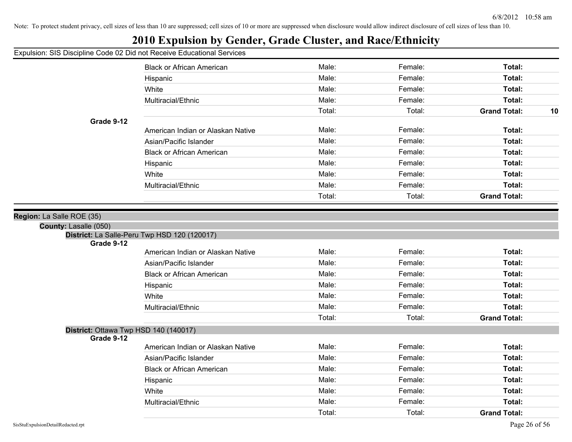## **2010 Expulsion by Gender, Grade Cluster, and Race/Ethnicity**

|                                                     | <b>Black or African American</b>             | Male:  | Female: | Total:                    |
|-----------------------------------------------------|----------------------------------------------|--------|---------|---------------------------|
|                                                     | Hispanic                                     | Male:  | Female: | Total:                    |
|                                                     | White<br>Multiracial/Ethnic                  |        | Female: | Total:                    |
|                                                     |                                              |        | Female: | Total:                    |
|                                                     |                                              | Total: | Total:  | <b>Grand Total:</b><br>10 |
| Grade 9-12                                          |                                              |        |         |                           |
|                                                     | American Indian or Alaskan Native            | Male:  | Female: | Total:                    |
|                                                     | Asian/Pacific Islander                       | Male:  | Female: | Total:                    |
|                                                     | <b>Black or African American</b>             | Male:  | Female: | Total:                    |
|                                                     | Hispanic                                     | Male:  | Female: | Total:                    |
|                                                     | White                                        | Male:  | Female: | Total:                    |
|                                                     | Multiracial/Ethnic                           | Male:  | Female: | Total:                    |
|                                                     |                                              | Total: | Total:  | <b>Grand Total:</b>       |
|                                                     |                                              |        |         |                           |
| Region: La Salle ROE (35)                           |                                              |        |         |                           |
| County: Lasalle (050)                               |                                              |        |         |                           |
| Grade 9-12                                          | District: La Salle-Peru Twp HSD 120 (120017) |        |         |                           |
|                                                     | American Indian or Alaskan Native            | Male:  | Female: | Total:                    |
|                                                     | Asian/Pacific Islander                       | Male:  | Female: | Total:                    |
|                                                     | <b>Black or African American</b>             | Male:  | Female: | Total:                    |
|                                                     | Hispanic                                     | Male:  | Female: | Total:                    |
|                                                     | White                                        | Male:  | Female: | Total:                    |
|                                                     | Multiracial/Ethnic                           | Male:  | Female: | Total:                    |
|                                                     |                                              | Total: | Total:  | <b>Grand Total:</b>       |
| District: Ottawa Twp HSD 140 (140017)<br>Grade 9-12 |                                              |        |         |                           |
|                                                     | American Indian or Alaskan Native            | Male:  | Female: | Total:                    |
|                                                     | Asian/Pacific Islander                       | Male:  | Female: | Total:                    |
|                                                     | <b>Black or African American</b>             | Male:  | Female: | Total:                    |
|                                                     | Hispanic                                     | Male:  | Female: | Total:                    |
|                                                     | White                                        | Male:  | Female: | Total:                    |
|                                                     | Multiracial/Ethnic                           | Male:  | Female: | Total:                    |
|                                                     |                                              | Total: | Total:  | <b>Grand Total:</b>       |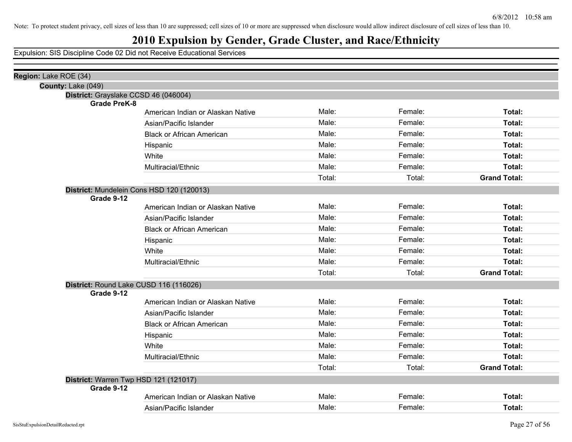# **2010 Expulsion by Gender, Grade Cluster, and Race/Ethnicity**

| Region: Lake ROE (34) |                                                          |        |         |                     |
|-----------------------|----------------------------------------------------------|--------|---------|---------------------|
| County: Lake (049)    |                                                          |        |         |                     |
|                       | District: Grayslake CCSD 46 (046004)                     |        |         |                     |
|                       | <b>Grade PreK-8</b><br>American Indian or Alaskan Native | Male:  | Female: | Total:              |
|                       | Asian/Pacific Islander                                   | Male:  | Female: | Total:              |
|                       |                                                          | Male:  | Female: | Total:              |
|                       | <b>Black or African American</b>                         |        |         |                     |
|                       | Hispanic                                                 | Male:  | Female: | Total:              |
|                       | White                                                    | Male:  | Female: | Total:              |
|                       | Multiracial/Ethnic                                       | Male:  | Female: | Total:              |
|                       |                                                          | Total: | Total:  | <b>Grand Total:</b> |
|                       | District: Mundelein Cons HSD 120 (120013)                |        |         |                     |
| Grade 9-12            |                                                          |        |         |                     |
|                       | American Indian or Alaskan Native                        | Male:  | Female: | Total:              |
|                       | Asian/Pacific Islander                                   | Male:  | Female: | Total:              |
|                       | <b>Black or African American</b>                         | Male:  | Female: | Total:              |
|                       | Hispanic                                                 | Male:  | Female: | Total:              |
|                       | White                                                    | Male:  | Female: | Total:              |
|                       | Multiracial/Ethnic                                       | Male:  | Female: | Total:              |
|                       |                                                          | Total: | Total:  | <b>Grand Total:</b> |
|                       | District: Round Lake CUSD 116 (116026)                   |        |         |                     |
| Grade 9-12            |                                                          |        |         |                     |
|                       | American Indian or Alaskan Native                        | Male:  | Female: | Total:              |
|                       | Asian/Pacific Islander                                   | Male:  | Female: | Total:              |
|                       | <b>Black or African American</b>                         | Male:  | Female: | Total:              |
|                       | Hispanic                                                 | Male:  | Female: | Total:              |
|                       | White                                                    | Male:  | Female: | Total:              |
|                       | Multiracial/Ethnic                                       | Male:  | Female: | Total:              |
|                       |                                                          | Total: | Total:  | <b>Grand Total:</b> |
|                       | District: Warren Twp HSD 121 (121017)                    |        |         |                     |
| Grade 9-12            |                                                          |        |         |                     |
|                       | American Indian or Alaskan Native                        | Male:  | Female: | Total:              |
|                       | Asian/Pacific Islander                                   | Male:  | Female: | Total:              |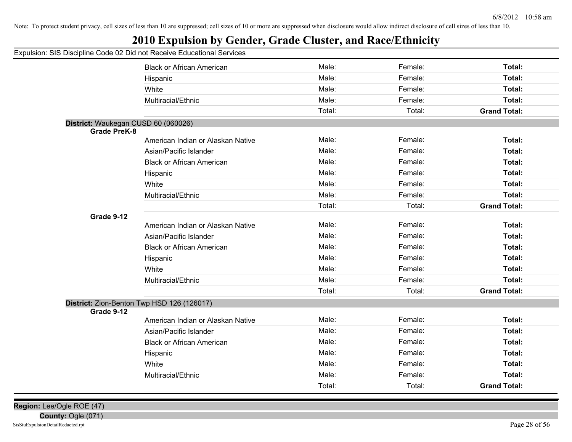## **2010 Expulsion by Gender, Grade Cluster, and Race/Ethnicity**

### Expulsion: SIS Discipline Code 02 Did not Receive Educational Services

|                                     | <b>Black or African American</b>           | Male:  | Female: | Total:              |
|-------------------------------------|--------------------------------------------|--------|---------|---------------------|
|                                     | Hispanic                                   | Male:  | Female: | Total:              |
|                                     | White                                      | Male:  | Female: | Total:              |
|                                     | Multiracial/Ethnic                         | Male:  | Female: | Total:              |
|                                     |                                            | Total: | Total:  | <b>Grand Total:</b> |
| District: Waukegan CUSD 60 (060026) |                                            |        |         |                     |
| <b>Grade PreK-8</b>                 |                                            |        |         |                     |
|                                     | American Indian or Alaskan Native          | Male:  | Female: | Total:              |
|                                     | Asian/Pacific Islander                     | Male:  | Female: | Total:              |
|                                     | <b>Black or African American</b>           | Male:  | Female: | Total:              |
|                                     | Hispanic                                   | Male:  | Female: | Total:              |
|                                     | White                                      | Male:  | Female: | Total:              |
|                                     | Multiracial/Ethnic                         | Male:  | Female: | Total:              |
|                                     |                                            | Total: | Total:  | <b>Grand Total:</b> |
| Grade 9-12                          |                                            |        |         |                     |
|                                     | American Indian or Alaskan Native          | Male:  | Female: | Total:              |
|                                     | Asian/Pacific Islander                     | Male:  | Female: | Total:              |
|                                     | <b>Black or African American</b>           | Male:  | Female: | Total:              |
|                                     | Hispanic                                   | Male:  | Female: | Total:              |
|                                     | White                                      | Male:  | Female: | Total:              |
|                                     | Multiracial/Ethnic                         | Male:  | Female: | Total:              |
|                                     |                                            | Total: | Total:  | <b>Grand Total:</b> |
|                                     | District: Zion-Benton Twp HSD 126 (126017) |        |         |                     |
| Grade 9-12                          |                                            |        |         |                     |
|                                     | American Indian or Alaskan Native          | Male:  | Female: | Total:              |
|                                     | Asian/Pacific Islander                     | Male:  | Female: | Total:              |
|                                     | <b>Black or African American</b>           | Male:  | Female: | Total:              |
|                                     | Hispanic                                   | Male:  | Female: | Total:              |
|                                     | White                                      | Male:  | Female: | <b>Total:</b>       |
|                                     | Multiracial/Ethnic                         | Male:  | Female: | Total:              |
|                                     |                                            | Total: | Total:  | <b>Grand Total:</b> |
|                                     |                                            |        |         |                     |

**Region:** Lee/Ogle ROE (47)

**County:** Ogle (071)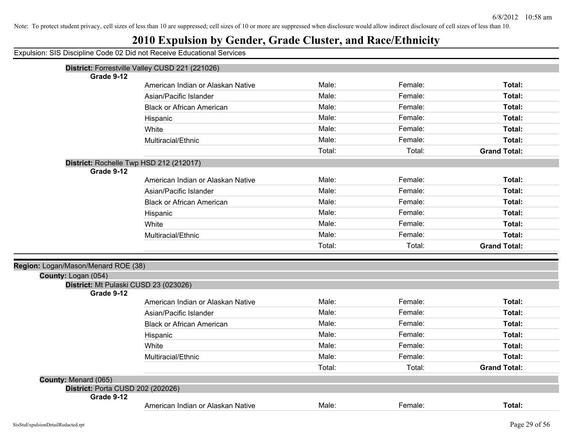|                                                 | Expulsion: SIS Discipline Code 02 Did not Receive Educational Services |        |         |                     |
|-------------------------------------------------|------------------------------------------------------------------------|--------|---------|---------------------|
|                                                 | District: Forrestville Valley CUSD 221 (221026)                        |        |         |                     |
| Grade 9-12                                      |                                                                        |        |         |                     |
|                                                 | American Indian or Alaskan Native                                      | Male:  | Female: | Total:              |
|                                                 | Asian/Pacific Islander                                                 | Male:  | Female: | Total:              |
|                                                 | <b>Black or African American</b>                                       | Male:  | Female: | Total:              |
|                                                 | Hispanic                                                               | Male:  | Female: | Total:              |
|                                                 | White                                                                  | Male:  | Female: | Total:              |
|                                                 | Multiracial/Ethnic                                                     | Male:  | Female: | Total:              |
|                                                 |                                                                        | Total: | Total:  | <b>Grand Total:</b> |
|                                                 | District: Rochelle Twp HSD 212 (212017)                                |        |         |                     |
| Grade 9-12                                      |                                                                        |        |         |                     |
|                                                 | American Indian or Alaskan Native                                      | Male:  | Female: | Total:              |
|                                                 | Asian/Pacific Islander                                                 | Male:  | Female: | Total:              |
|                                                 | <b>Black or African American</b>                                       | Male:  | Female: | Total:              |
|                                                 | Hispanic                                                               | Male:  | Female: | Total:              |
|                                                 | White                                                                  | Male:  | Female: | Total:              |
|                                                 | Multiracial/Ethnic                                                     | Male:  | Female: | Total:              |
|                                                 |                                                                        | Total: | Total:  | <b>Grand Total:</b> |
| Region: Logan/Mason/Menard ROE (38)             |                                                                        |        |         |                     |
| County: Logan (054)                             |                                                                        |        |         |                     |
|                                                 | District: Mt Pulaski CUSD 23 (023026)                                  |        |         |                     |
| Grade 9-12                                      |                                                                        | Male:  | Female: | Total:              |
|                                                 | American Indian or Alaskan Native                                      | Male:  | Female: | Total:              |
|                                                 | Asian/Pacific Islander                                                 |        |         |                     |
|                                                 | <b>Black or African American</b>                                       | Male:  | Female: | Total:              |
|                                                 | Hispanic                                                               | Male:  | Female: | Total:              |
|                                                 | White                                                                  | Male:  | Female: | Total:              |
|                                                 | Multiracial/Ethnic                                                     | Male:  | Female: | Total:              |
|                                                 |                                                                        | Total: | Total:  | <b>Grand Total:</b> |
| County: Menard (065)                            |                                                                        |        |         |                     |
| District: Porta CUSD 202 (202026)<br>Grade 9-12 |                                                                        |        |         |                     |
|                                                 | American Indian or Alaskan Native                                      | Male:  | Female: | Total:              |
|                                                 |                                                                        |        |         |                     |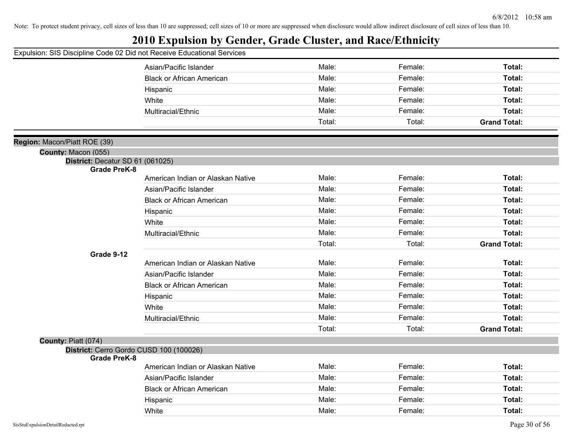## **2010 Expulsion by Gender, Grade Cluster, and Race/Ethnicity**

|                                  | Asian/Pacific Islander                  | Male:  | Female: | Total:              |
|----------------------------------|-----------------------------------------|--------|---------|---------------------|
|                                  | <b>Black or African American</b>        | Male:  | Female: | Total:              |
|                                  | Hispanic                                | Male:  | Female: | Total:              |
|                                  | White                                   | Male:  | Female: | Total:              |
|                                  | Multiracial/Ethnic                      | Male:  | Female: | Total:              |
|                                  |                                         | Total: | Total:  | <b>Grand Total:</b> |
| Region: Macon/Piatt ROE (39)     |                                         |        |         |                     |
| County: Macon (055)              |                                         |        |         |                     |
| District: Decatur SD 61 (061025) |                                         |        |         |                     |
| <b>Grade PreK-8</b>              |                                         |        |         |                     |
|                                  | American Indian or Alaskan Native       | Male:  | Female: | Total:              |
|                                  | Asian/Pacific Islander                  | Male:  | Female: | Total:              |
|                                  | <b>Black or African American</b>        | Male:  | Female: | Total:              |
|                                  | Hispanic                                | Male:  | Female: | Total:              |
|                                  | White                                   | Male:  | Female: | Total:              |
|                                  | Multiracial/Ethnic                      | Male:  | Female: | Total:              |
|                                  |                                         | Total: | Total:  | <b>Grand Total:</b> |
| Grade 9-12                       |                                         |        |         |                     |
|                                  | American Indian or Alaskan Native       | Male:  | Female: | Total:              |
|                                  | Asian/Pacific Islander                  | Male:  | Female: | Total:              |
|                                  | <b>Black or African American</b>        | Male:  | Female: | Total:              |
|                                  | Hispanic                                | Male:  | Female: | Total:              |
|                                  | White                                   | Male:  | Female: | Total:              |
|                                  | Multiracial/Ethnic                      | Male:  | Female: | Total:              |
|                                  |                                         | Total: | Total:  | <b>Grand Total:</b> |
| County: Piatt (074)              |                                         |        |         |                     |
|                                  | District: Cerro Gordo CUSD 100 (100026) |        |         |                     |
| <b>Grade PreK-8</b>              | American Indian or Alaskan Native       | Male:  | Female: | Total:              |
|                                  | Asian/Pacific Islander                  | Male:  | Female: | Total:              |
|                                  | <b>Black or African American</b>        | Male:  | Female: | Total:              |
|                                  |                                         | Male:  | Female: |                     |
|                                  | Hispanic                                |        |         | Total:              |
|                                  | White                                   | Male:  | Female: | Total:              |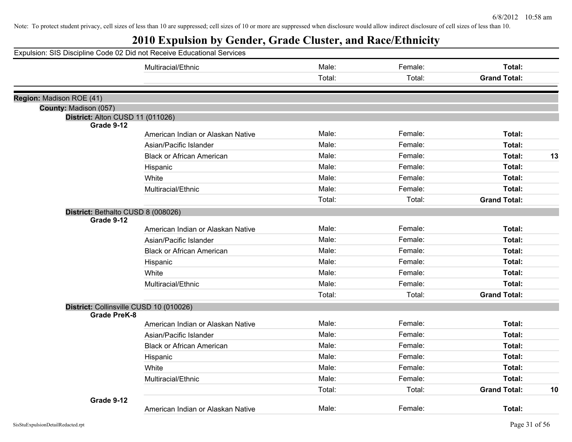| Expulsion: SIS Discipline Code 02 Did not Receive Educational Services |                                   |        |         |                     |    |
|------------------------------------------------------------------------|-----------------------------------|--------|---------|---------------------|----|
|                                                                        | Multiracial/Ethnic                | Male:  | Female: | Total:              |    |
|                                                                        |                                   | Total: | Total:  | <b>Grand Total:</b> |    |
|                                                                        |                                   |        |         |                     |    |
| Region: Madison ROE (41)<br>County: Madison (057)                      |                                   |        |         |                     |    |
| District: Alton CUSD 11 (011026)                                       |                                   |        |         |                     |    |
| Grade 9-12                                                             |                                   |        |         |                     |    |
|                                                                        | American Indian or Alaskan Native | Male:  | Female: | Total:              |    |
|                                                                        | Asian/Pacific Islander            | Male:  | Female: | Total:              |    |
|                                                                        | <b>Black or African American</b>  | Male:  | Female: | Total:              | 13 |
|                                                                        | Hispanic                          | Male:  | Female: | Total:              |    |
|                                                                        | White                             | Male:  | Female: | Total:              |    |
|                                                                        | Multiracial/Ethnic                | Male:  | Female: | Total:              |    |
|                                                                        |                                   | Total: | Total:  | <b>Grand Total:</b> |    |
| District: Bethalto CUSD 8 (008026)                                     |                                   |        |         |                     |    |
| Grade 9-12                                                             |                                   |        |         |                     |    |
|                                                                        | American Indian or Alaskan Native | Male:  | Female: | Total:              |    |
|                                                                        | Asian/Pacific Islander            | Male:  | Female: | Total:              |    |
|                                                                        | <b>Black or African American</b>  | Male:  | Female: | Total:              |    |
|                                                                        | Hispanic                          | Male:  | Female: | Total:              |    |
|                                                                        | White                             | Male:  | Female: | Total:              |    |
|                                                                        | Multiracial/Ethnic                | Male:  | Female: | Total:              |    |
|                                                                        |                                   | Total: | Total:  | <b>Grand Total:</b> |    |
| District: Collinsville CUSD 10 (010026)                                |                                   |        |         |                     |    |
| <b>Grade PreK-8</b>                                                    |                                   |        |         |                     |    |
|                                                                        | American Indian or Alaskan Native | Male:  | Female: | Total:              |    |
|                                                                        | Asian/Pacific Islander            | Male:  | Female: | Total:              |    |
|                                                                        | <b>Black or African American</b>  | Male:  | Female: | Total:              |    |
|                                                                        | Hispanic                          | Male:  | Female: | Total:              |    |
|                                                                        | White                             | Male:  | Female: | Total:              |    |
|                                                                        | Multiracial/Ethnic                | Male:  | Female: | Total:              |    |
|                                                                        |                                   | Total: | Total:  | <b>Grand Total:</b> | 10 |
| Grade 9-12                                                             |                                   |        |         |                     |    |
|                                                                        | American Indian or Alaskan Native | Male:  | Female: | Total:              |    |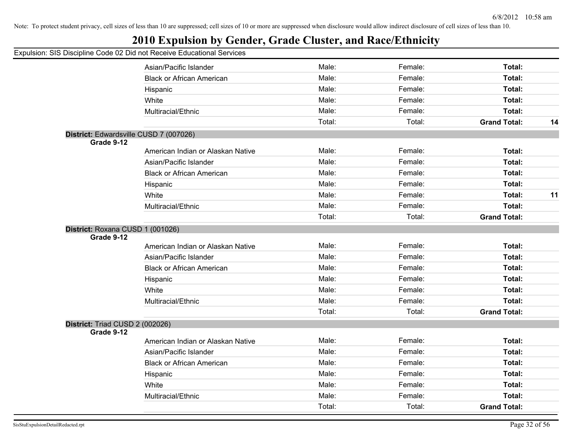## **2010 Expulsion by Gender, Grade Cluster, and Race/Ethnicity**

|                                        | Asian/Pacific Islander            | Male:  | Female: | Total:              |    |
|----------------------------------------|-----------------------------------|--------|---------|---------------------|----|
|                                        | <b>Black or African American</b>  | Male:  | Female: | Total:              |    |
|                                        | Hispanic                          | Male:  | Female: | Total:              |    |
|                                        | White                             | Male:  | Female: | Total:              |    |
|                                        | Multiracial/Ethnic                | Male:  | Female: | Total:              |    |
|                                        |                                   | Total: | Total:  | <b>Grand Total:</b> | 14 |
| District: Edwardsville CUSD 7 (007026) |                                   |        |         |                     |    |
| Grade 9-12                             |                                   |        |         |                     |    |
|                                        | American Indian or Alaskan Native | Male:  | Female: | Total:              |    |
|                                        | Asian/Pacific Islander            | Male:  | Female: | Total:              |    |
|                                        | <b>Black or African American</b>  | Male:  | Female: | Total:              |    |
|                                        | Hispanic                          | Male:  | Female: | <b>Total:</b>       |    |
|                                        | White                             | Male:  | Female: | Total:              | 11 |
|                                        | Multiracial/Ethnic                | Male:  | Female: | Total:              |    |
|                                        |                                   | Total: | Total:  | <b>Grand Total:</b> |    |
| District: Roxana CUSD 1 (001026)       |                                   |        |         |                     |    |
| Grade 9-12                             |                                   |        |         |                     |    |
|                                        | American Indian or Alaskan Native | Male:  | Female: | Total:              |    |
|                                        | Asian/Pacific Islander            | Male:  | Female: | Total:              |    |
|                                        | <b>Black or African American</b>  | Male:  | Female: | Total:              |    |
|                                        | Hispanic                          | Male:  | Female: | Total:              |    |
|                                        | White                             | Male:  | Female: | Total:              |    |
|                                        | Multiracial/Ethnic                | Male:  | Female: | Total:              |    |
|                                        |                                   | Total: | Total:  | <b>Grand Total:</b> |    |
| District: Triad CUSD 2 (002026)        |                                   |        |         |                     |    |
| Grade 9-12                             |                                   |        |         |                     |    |
|                                        | American Indian or Alaskan Native | Male:  | Female: | Total:              |    |
|                                        | Asian/Pacific Islander            | Male:  | Female: | Total:              |    |
|                                        | <b>Black or African American</b>  | Male:  | Female: | Total:              |    |
|                                        | Hispanic                          | Male:  | Female: | Total:              |    |
|                                        | White                             | Male:  | Female: | Total:              |    |
|                                        | Multiracial/Ethnic                | Male:  | Female: | Total:              |    |
|                                        |                                   | Total: | Total:  | <b>Grand Total:</b> |    |
|                                        |                                   |        |         |                     |    |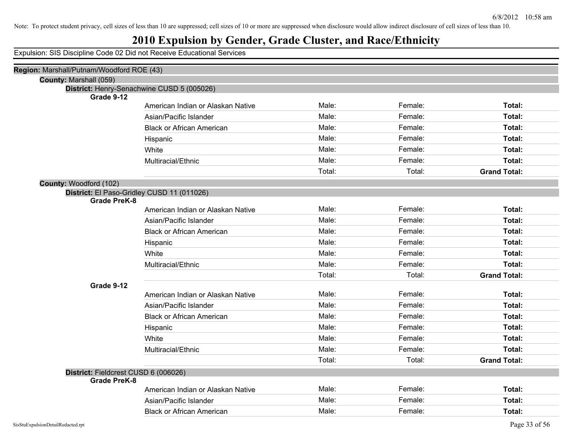## **2010 Expulsion by Gender, Grade Cluster, and Race/Ethnicity**

| Region: Marshall/Putnam/Woodford ROE (43)                            |                                            |        |         |                     |
|----------------------------------------------------------------------|--------------------------------------------|--------|---------|---------------------|
| County: Marshall (059)                                               |                                            |        |         |                     |
|                                                                      | District: Henry-Senachwine CUSD 5 (005026) |        |         |                     |
| Grade 9-12                                                           | American Indian or Alaskan Native          | Male:  | Female: | Total:              |
|                                                                      | Asian/Pacific Islander                     | Male:  | Female: | Total:              |
|                                                                      | <b>Black or African American</b>           | Male:  | Female: | Total:              |
|                                                                      | Hispanic                                   | Male:  | Female: | Total:              |
|                                                                      | White                                      | Male:  | Female: | Total:              |
|                                                                      | Multiracial/Ethnic                         | Male:  | Female: | Total:              |
|                                                                      |                                            | Total: | Total:  | <b>Grand Total:</b> |
|                                                                      |                                            |        |         |                     |
| County: Woodford (102)<br>District: El Paso-Gridley CUSD 11 (011026) |                                            |        |         |                     |
| <b>Grade PreK-8</b>                                                  |                                            |        |         |                     |
|                                                                      | American Indian or Alaskan Native          | Male:  | Female: | Total:              |
|                                                                      | Asian/Pacific Islander                     | Male:  | Female: | Total:              |
|                                                                      | <b>Black or African American</b>           | Male:  | Female: | Total:              |
|                                                                      | Hispanic                                   | Male:  | Female: | Total:              |
|                                                                      | White                                      | Male:  | Female: | Total:              |
|                                                                      | Multiracial/Ethnic                         | Male:  | Female: | Total:              |
|                                                                      |                                            | Total: | Total:  | <b>Grand Total:</b> |
| Grade 9-12                                                           |                                            |        |         |                     |
|                                                                      | American Indian or Alaskan Native          | Male:  | Female: | Total:              |
|                                                                      | Asian/Pacific Islander                     | Male:  | Female: | Total:              |
|                                                                      | <b>Black or African American</b>           | Male:  | Female: | Total:              |
|                                                                      | Hispanic                                   | Male:  | Female: | Total:              |
|                                                                      | White                                      | Male:  | Female: | Total:              |
|                                                                      | Multiracial/Ethnic                         | Male:  | Female: | Total:              |
|                                                                      |                                            | Total: | Total:  | <b>Grand Total:</b> |
| District: Fieldcrest CUSD 6 (006026)                                 |                                            |        |         |                     |
| <b>Grade PreK-8</b>                                                  |                                            |        |         |                     |
|                                                                      | American Indian or Alaskan Native          | Male:  | Female: | Total:              |
|                                                                      | Asian/Pacific Islander                     | Male:  | Female: | Total:              |
|                                                                      | <b>Black or African American</b>           | Male:  | Female: | Total:              |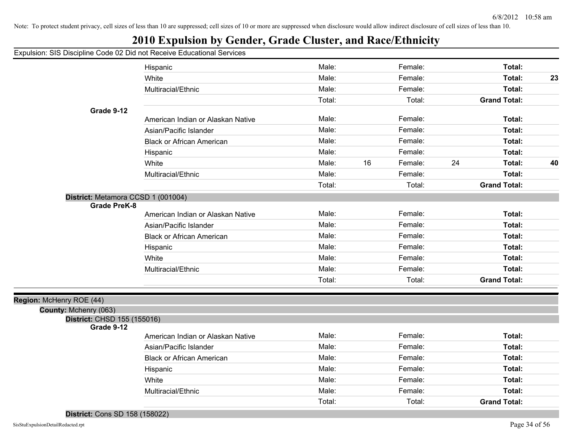## **2010 Expulsion by Gender, Grade Cluster, and Race/Ethnicity**

|  |  |  |  |  |  | Expulsion: SIS Discipline Code 02 Did not Receive Educational Services |  |
|--|--|--|--|--|--|------------------------------------------------------------------------|--|
|--|--|--|--|--|--|------------------------------------------------------------------------|--|

|                                    | Hispanic                          | Male:  |    | Female: |    | Total:              |    |
|------------------------------------|-----------------------------------|--------|----|---------|----|---------------------|----|
|                                    | White                             | Male:  |    | Female: |    | Total:              | 23 |
|                                    | Multiracial/Ethnic                | Male:  |    | Female: |    | Total:              |    |
|                                    |                                   | Total: |    | Total:  |    | <b>Grand Total:</b> |    |
| Grade 9-12                         |                                   |        |    |         |    |                     |    |
|                                    | American Indian or Alaskan Native | Male:  |    | Female: |    | Total:              |    |
|                                    | Asian/Pacific Islander            | Male:  |    | Female: |    | Total:              |    |
|                                    | <b>Black or African American</b>  | Male:  |    | Female: |    | Total:              |    |
|                                    | Hispanic                          | Male:  |    | Female: |    | Total:              |    |
|                                    | White                             | Male:  | 16 | Female: | 24 | Total:              | 40 |
|                                    | Multiracial/Ethnic                | Male:  |    | Female: |    | Total:              |    |
|                                    |                                   | Total: |    | Total:  |    | <b>Grand Total:</b> |    |
| District: Metamora CCSD 1 (001004) |                                   |        |    |         |    |                     |    |
| <b>Grade PreK-8</b>                |                                   |        |    |         |    |                     |    |
|                                    | American Indian or Alaskan Native | Male:  |    | Female: |    | Total:              |    |
|                                    | Asian/Pacific Islander            | Male:  |    | Female: |    | Total:              |    |
|                                    | <b>Black or African American</b>  | Male:  |    | Female: |    | Total:              |    |
|                                    | Hispanic                          | Male:  |    | Female: |    | Total:              |    |
|                                    | White                             | Male:  |    | Female: |    | Total:              |    |
|                                    | Multiracial/Ethnic                | Male:  |    | Female: |    | Total:              |    |
|                                    |                                   | Total: |    | Total:  |    | <b>Grand Total:</b> |    |
| Region: McHenry ROE (44)           |                                   |        |    |         |    |                     |    |
| County: Mchenry (063)              |                                   |        |    |         |    |                     |    |
| District: CHSD 155 (155016)        |                                   |        |    |         |    |                     |    |
| Grade 9-12                         |                                   |        |    |         |    |                     |    |
|                                    | American Indian or Alaskan Native | Male:  |    | Female: |    | Total:              |    |
|                                    | Asian/Pacific Islander            | Male:  |    | Female: |    | Total:              |    |
|                                    | <b>Black or African American</b>  | Male:  |    | Female: |    | Total:              |    |
|                                    | Hispanic                          | Male:  |    | Female: |    | Total:              |    |
|                                    | White                             | Male:  |    | Female: |    | Total:              |    |
|                                    | Multiracial/Ethnic                | Male:  |    | Female: |    | Total:              |    |
|                                    |                                   | Total: |    | Total:  |    | <b>Grand Total:</b> |    |
|                                    |                                   |        |    |         |    |                     |    |

**District:** Cons SD 158 (158022)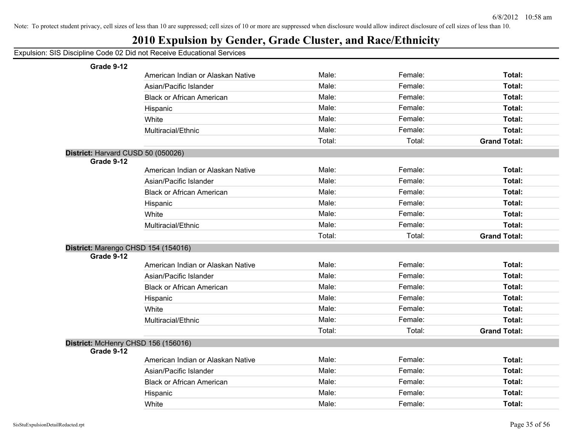| Expulsion: SIS Discipline Code 02 Did not Receive Educational Services |  |  |  |  |  |
|------------------------------------------------------------------------|--|--|--|--|--|
|------------------------------------------------------------------------|--|--|--|--|--|

| Grade 9-12                          |                                   |        |         |                     |
|-------------------------------------|-----------------------------------|--------|---------|---------------------|
|                                     | American Indian or Alaskan Native | Male:  | Female: | Total:              |
|                                     | Asian/Pacific Islander            | Male:  | Female: | Total:              |
|                                     | <b>Black or African American</b>  | Male:  | Female: | Total:              |
|                                     | Hispanic                          | Male:  | Female: | Total:              |
|                                     | White                             | Male:  | Female: | Total:              |
|                                     | Multiracial/Ethnic                | Male:  | Female: | Total:              |
|                                     |                                   | Total: | Total:  | <b>Grand Total:</b> |
| District: Harvard CUSD 50 (050026)  |                                   |        |         |                     |
| Grade 9-12                          |                                   |        |         |                     |
|                                     | American Indian or Alaskan Native | Male:  | Female: | Total:              |
|                                     | Asian/Pacific Islander            | Male:  | Female: | Total:              |
|                                     | <b>Black or African American</b>  | Male:  | Female: | Total:              |
|                                     | Hispanic                          | Male:  | Female: | Total:              |
|                                     | White                             | Male:  | Female: | Total:              |
|                                     | Multiracial/Ethnic                | Male:  | Female: | Total:              |
|                                     |                                   | Total: | Total:  | <b>Grand Total:</b> |
| District: Marengo CHSD 154 (154016) |                                   |        |         |                     |
| Grade 9-12                          |                                   |        |         |                     |
|                                     | American Indian or Alaskan Native | Male:  | Female: | Total:              |
|                                     | Asian/Pacific Islander            | Male:  | Female: | Total:              |
|                                     | <b>Black or African American</b>  | Male:  | Female: | Total:              |
|                                     | Hispanic                          | Male:  | Female: | Total:              |
|                                     | White                             | Male:  | Female: | Total:              |
|                                     | Multiracial/Ethnic                | Male:  | Female: | Total:              |
|                                     |                                   | Total: | Total:  | <b>Grand Total:</b> |
| District: McHenry CHSD 156 (156016) |                                   |        |         |                     |
| Grade 9-12                          |                                   |        |         |                     |
|                                     | American Indian or Alaskan Native | Male:  | Female: | Total:              |
|                                     | Asian/Pacific Islander            | Male:  | Female: | Total:              |
|                                     | <b>Black or African American</b>  | Male:  | Female: | Total:              |
|                                     | Hispanic                          | Male:  | Female: | Total:              |
|                                     | White                             | Male:  | Female: | Total:              |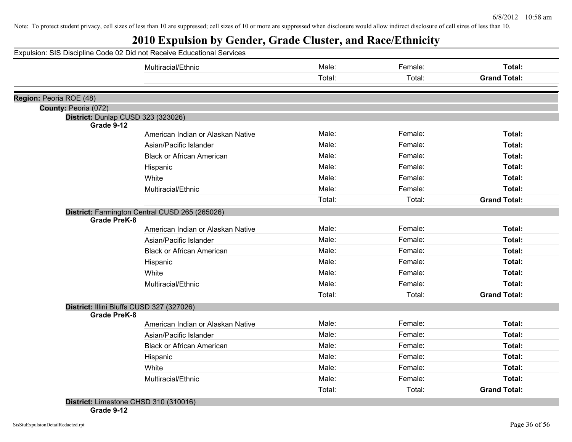# **2010 Expulsion by Gender, Grade Cluster, and Race/Ethnicity**

|                         | Multiracial/Ethnic                             | Male:  | Female: | Total:              |
|-------------------------|------------------------------------------------|--------|---------|---------------------|
|                         |                                                | Total: | Total:  | <b>Grand Total:</b> |
|                         |                                                |        |         |                     |
| Region: Peoria ROE (48) |                                                |        |         |                     |
| County: Peoria (072)    |                                                |        |         |                     |
| Grade 9-12              | District: Dunlap CUSD 323 (323026)             |        |         |                     |
|                         | American Indian or Alaskan Native              | Male:  | Female: | Total:              |
|                         | Asian/Pacific Islander                         | Male:  | Female: | Total:              |
|                         | <b>Black or African American</b>               | Male:  | Female: | Total:              |
|                         | Hispanic                                       | Male:  | Female: | Total:              |
|                         | White                                          | Male:  | Female: | Total:              |
|                         | Multiracial/Ethnic                             | Male:  | Female: | Total:              |
|                         |                                                | Total: | Total:  | <b>Grand Total:</b> |
|                         | District: Farmington Central CUSD 265 (265026) |        |         |                     |
| <b>Grade PreK-8</b>     |                                                |        |         |                     |
|                         | American Indian or Alaskan Native              | Male:  | Female: | Total:              |
|                         | Asian/Pacific Islander                         | Male:  | Female: | Total:              |
|                         | <b>Black or African American</b>               | Male:  | Female: | Total:              |
|                         | Hispanic                                       | Male:  | Female: | Total:              |
|                         | White                                          | Male:  | Female: | Total:              |
|                         | Multiracial/Ethnic                             | Male:  | Female: | Total:              |
|                         |                                                | Total: | Total:  | <b>Grand Total:</b> |
|                         | District: Illini Bluffs CUSD 327 (327026)      |        |         |                     |
| <b>Grade PreK-8</b>     |                                                |        |         |                     |
|                         | American Indian or Alaskan Native              | Male:  | Female: | Total:              |
|                         | Asian/Pacific Islander                         | Male:  | Female: | Total:              |
|                         | <b>Black or African American</b>               | Male:  | Female: | Total:              |
|                         | Hispanic                                       | Male:  | Female: | Total:              |
|                         | White                                          | Male:  | Female: | Total:              |
|                         | Multiracial/Ethnic                             | Male:  | Female: | Total:              |
|                         |                                                | Total: | Total:  | <b>Grand Total:</b> |

**Grade 9-12**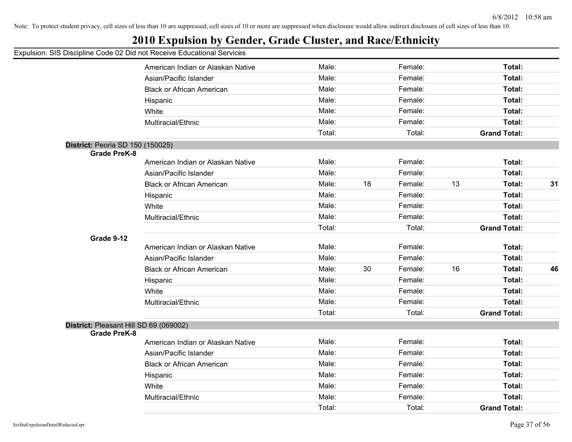## **2010 Expulsion by Gender, Grade Cluster, and Race/Ethnicity**

|                                        | American Indian or Alaskan Native | Male:  |    | Female: |    | Total:              |    |
|----------------------------------------|-----------------------------------|--------|----|---------|----|---------------------|----|
|                                        | Asian/Pacific Islander            | Male:  |    | Female: |    | Total:              |    |
|                                        | <b>Black or African American</b>  | Male:  |    | Female: |    | <b>Total:</b>       |    |
|                                        | Hispanic                          | Male:  |    | Female: |    | Total:              |    |
|                                        | White                             | Male:  |    | Female: |    | <b>Total:</b>       |    |
|                                        | Multiracial/Ethnic                | Male:  |    | Female: |    | Total:              |    |
|                                        |                                   | Total: |    | Total:  |    | <b>Grand Total:</b> |    |
| District: Peoria SD 150 (150025)       |                                   |        |    |         |    |                     |    |
| <b>Grade PreK-8</b>                    |                                   |        |    |         |    |                     |    |
|                                        | American Indian or Alaskan Native | Male:  |    | Female: |    | <b>Total:</b>       |    |
|                                        | Asian/Pacific Islander            | Male:  |    | Female: |    | <b>Total:</b>       |    |
|                                        | <b>Black or African American</b>  | Male:  | 18 | Female: | 13 | Total:              | 31 |
|                                        | Hispanic                          | Male:  |    | Female: |    | Total:              |    |
|                                        | White                             | Male:  |    | Female: |    | <b>Total:</b>       |    |
|                                        | Multiracial/Ethnic                | Male:  |    | Female: |    | Total:              |    |
|                                        |                                   | Total: |    | Total:  |    | <b>Grand Total:</b> |    |
| Grade 9-12                             |                                   |        |    |         |    |                     |    |
|                                        | American Indian or Alaskan Native | Male:  |    | Female: |    | Total:              |    |
|                                        | Asian/Pacific Islander            | Male:  |    | Female: |    | Total:              |    |
|                                        | <b>Black or African American</b>  | Male:  | 30 | Female: | 16 | <b>Total:</b>       | 46 |
|                                        | Hispanic                          | Male:  |    | Female: |    | Total:              |    |
|                                        | White                             | Male:  |    | Female: |    | Total:              |    |
|                                        | Multiracial/Ethnic                | Male:  |    | Female: |    | <b>Total:</b>       |    |
|                                        |                                   | Total: |    | Total:  |    | <b>Grand Total:</b> |    |
| District: Pleasant Hill SD 69 (069002) |                                   |        |    |         |    |                     |    |
| <b>Grade PreK-8</b>                    |                                   |        |    |         |    |                     |    |
|                                        | American Indian or Alaskan Native | Male:  |    | Female: |    | <b>Total:</b>       |    |
|                                        | Asian/Pacific Islander            | Male:  |    | Female: |    | <b>Total:</b>       |    |
|                                        | <b>Black or African American</b>  | Male:  |    | Female: |    | Total:              |    |
|                                        | Hispanic                          | Male:  |    | Female: |    | Total:              |    |
|                                        | White                             | Male:  |    | Female: |    | Total:              |    |
|                                        | Multiracial/Ethnic                | Male:  |    | Female: |    | <b>Total:</b>       |    |
|                                        |                                   | Total: |    | Total:  |    | <b>Grand Total:</b> |    |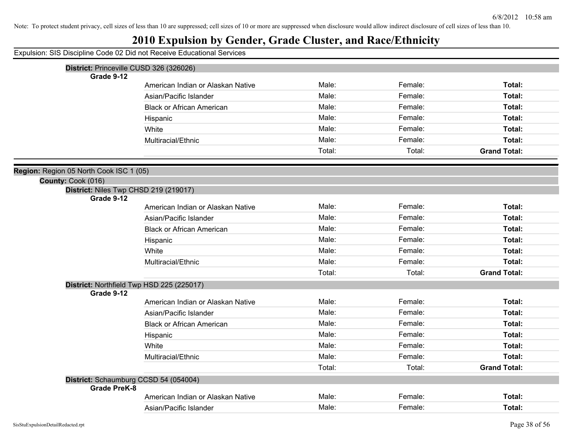## **2010 Expulsion by Gender, Grade Cluster, and Race/Ethnicity**

|                                         | Expansion. Sio Discipling Ocac cz Dia not receive Educational Oci vices |        |         |                     |
|-----------------------------------------|-------------------------------------------------------------------------|--------|---------|---------------------|
|                                         | District: Princeville CUSD 326 (326026)                                 |        |         |                     |
| Grade 9-12                              |                                                                         |        |         |                     |
|                                         | American Indian or Alaskan Native                                       | Male:  | Female: | Total:              |
|                                         | Asian/Pacific Islander                                                  | Male:  | Female: | Total:              |
|                                         | <b>Black or African American</b>                                        | Male:  | Female: | Total:              |
|                                         | Hispanic                                                                | Male:  | Female: | Total:              |
|                                         | White                                                                   | Male:  | Female: | Total:              |
|                                         | Multiracial/Ethnic                                                      | Male:  | Female: | Total:              |
|                                         |                                                                         | Total: | Total:  | <b>Grand Total:</b> |
|                                         |                                                                         |        |         |                     |
| Region: Region 05 North Cook ISC 1 (05) |                                                                         |        |         |                     |
| County: Cook (016)                      |                                                                         |        |         |                     |
| Grade 9-12                              | District: Niles Twp CHSD 219 (219017)                                   |        |         |                     |
|                                         | American Indian or Alaskan Native                                       | Male:  | Female: | Total:              |
|                                         | Asian/Pacific Islander                                                  | Male:  | Female: | Total:              |
|                                         | <b>Black or African American</b>                                        | Male:  | Female: | Total:              |
|                                         | Hispanic                                                                | Male:  | Female: | Total:              |
|                                         | White                                                                   | Male:  | Female: | Total:              |
|                                         | Multiracial/Ethnic                                                      | Male:  | Female: | Total:              |
|                                         |                                                                         | Total: | Total:  | <b>Grand Total:</b> |
|                                         | District: Northfield Twp HSD 225 (225017)                               |        |         |                     |
| Grade 9-12                              |                                                                         |        |         |                     |
|                                         | American Indian or Alaskan Native                                       | Male:  | Female: | Total:              |
|                                         | Asian/Pacific Islander                                                  | Male:  | Female: | Total:              |
|                                         | <b>Black or African American</b>                                        | Male:  | Female: | Total:              |
|                                         | Hispanic                                                                | Male:  | Female: | Total:              |
|                                         | White                                                                   | Male:  | Female: | Total:              |
|                                         | Multiracial/Ethnic                                                      | Male:  | Female: | Total:              |
|                                         |                                                                         | Total: | Total:  | <b>Grand Total:</b> |
|                                         | District: Schaumburg CCSD 54 (054004)                                   |        |         |                     |
| <b>Grade PreK-8</b>                     |                                                                         |        |         |                     |
|                                         | American Indian or Alaskan Native                                       | Male:  | Female: | Total:              |
|                                         | Asian/Pacific Islander                                                  | Male:  | Female: | Total:              |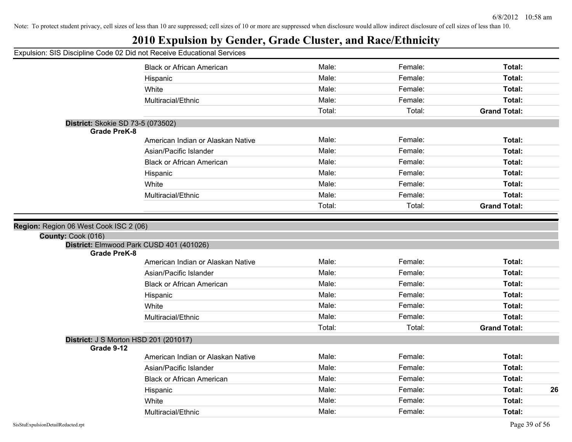## **2010 Expulsion by Gender, Grade Cluster, and Race/Ethnicity**

| paiori. Oio Diocipiirio ocae de Dia Hot Roccito Edacation |                                          |        |         |                     |  |
|-----------------------------------------------------------|------------------------------------------|--------|---------|---------------------|--|
|                                                           | <b>Black or African American</b>         | Male:  | Female: | Total:              |  |
|                                                           | Hispanic                                 | Male:  | Female: | Total:              |  |
|                                                           | White                                    | Male:  | Female: | Total:              |  |
|                                                           | Multiracial/Ethnic                       | Male:  | Female: | Total:              |  |
|                                                           |                                          | Total: | Total:  | <b>Grand Total:</b> |  |
| District: Skokie SD 73-5 (073502)                         |                                          |        |         |                     |  |
| <b>Grade PreK-8</b>                                       |                                          |        |         |                     |  |
|                                                           | American Indian or Alaskan Native        | Male:  | Female: | Total:              |  |
|                                                           | Asian/Pacific Islander                   | Male:  | Female: | Total:              |  |
|                                                           | <b>Black or African American</b>         | Male:  | Female: | Total:              |  |
|                                                           | Hispanic                                 | Male:  | Female: | Total:              |  |
|                                                           | White                                    | Male:  | Female: | Total:              |  |
|                                                           | Multiracial/Ethnic                       | Male:  | Female: | Total:              |  |
|                                                           |                                          | Total: | Total:  | <b>Grand Total:</b> |  |
|                                                           |                                          |        |         |                     |  |
| Region: Region 06 West Cook ISC 2 (06)                    |                                          |        |         |                     |  |
| County: Cook (016)                                        |                                          |        |         |                     |  |
| <b>Grade PreK-8</b>                                       | District: Elmwood Park CUSD 401 (401026) |        |         |                     |  |
|                                                           | American Indian or Alaskan Native        | Male:  | Female: | Total:              |  |
|                                                           | Asian/Pacific Islander                   | Male:  | Female: | Total:              |  |
|                                                           | <b>Black or African American</b>         | Male:  | Female: | Total:              |  |
|                                                           | Hispanic                                 | Male:  | Female: | Total:              |  |
|                                                           | White                                    | Male:  | Female: | Total:              |  |
|                                                           | Multiracial/Ethnic                       | Male:  | Female: | Total:              |  |
|                                                           |                                          | Total: | Total:  | <b>Grand Total:</b> |  |
| District: J S Morton HSD 201 (201017)                     |                                          |        |         |                     |  |
| Grade 9-12                                                |                                          |        |         |                     |  |
|                                                           | American Indian or Alaskan Native        | Male:  | Female: | Total:              |  |
|                                                           | Asian/Pacific Islander                   | Male:  | Female: | Total:              |  |
|                                                           | <b>Black or African American</b>         | Male:  | Female: | Total:              |  |
|                                                           | Hispanic                                 | Male:  | Female: | Total:<br>26        |  |
|                                                           |                                          |        |         |                     |  |
|                                                           | White                                    | Male:  | Female: | Total:              |  |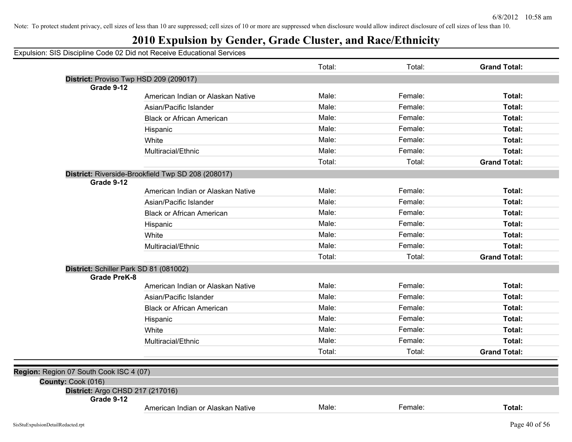## **2010 Expulsion by Gender, Grade Cluster, and Race/Ethnicity**

|                                                               |                                                    | Total: | Total:  | <b>Grand Total:</b> |
|---------------------------------------------------------------|----------------------------------------------------|--------|---------|---------------------|
|                                                               | District: Proviso Twp HSD 209 (209017)             |        |         |                     |
| Grade 9-12                                                    |                                                    |        |         |                     |
|                                                               | American Indian or Alaskan Native                  | Male:  | Female: | Total:              |
|                                                               | Asian/Pacific Islander                             | Male:  | Female: | Total:              |
|                                                               | <b>Black or African American</b>                   | Male:  | Female: | Total:              |
|                                                               | Hispanic                                           | Male:  | Female: | Total:              |
|                                                               | White                                              | Male:  | Female: | Total:              |
|                                                               | Multiracial/Ethnic                                 | Male:  | Female: | Total:              |
|                                                               |                                                    | Total: | Total:  | <b>Grand Total:</b> |
|                                                               | District: Riverside-Brookfield Twp SD 208 (208017) |        |         |                     |
| Grade 9-12                                                    | American Indian or Alaskan Native                  | Male:  | Female: | Total:              |
|                                                               | Asian/Pacific Islander                             | Male:  | Female: | Total:              |
|                                                               | <b>Black or African American</b>                   | Male:  | Female: | Total:              |
|                                                               |                                                    | Male:  | Female: | Total:              |
|                                                               | Hispanic                                           | Male:  | Female: |                     |
|                                                               | White                                              |        |         | Total:              |
|                                                               | Multiracial/Ethnic                                 | Male:  | Female: | Total:              |
|                                                               |                                                    | Total: | Total:  | <b>Grand Total:</b> |
| District: Schiller Park SD 81 (081002)<br><b>Grade PreK-8</b> |                                                    |        |         |                     |
|                                                               | American Indian or Alaskan Native                  | Male:  | Female: | Total:              |
|                                                               | Asian/Pacific Islander                             | Male:  | Female: | Total:              |
|                                                               | <b>Black or African American</b>                   | Male:  | Female: | Total:              |
|                                                               | Hispanic                                           | Male:  | Female: | Total:              |
|                                                               | White                                              | Male:  | Female: | Total:              |
|                                                               | Multiracial/Ethnic                                 | Male:  | Female: | Total:              |
|                                                               |                                                    | Total: | Total:  | <b>Grand Total:</b> |
|                                                               |                                                    |        |         |                     |
| Region: Region 07 South Cook ISC 4 (07)                       |                                                    |        |         |                     |
| County: Cook (016)<br>District: Argo CHSD 217 (217016)        |                                                    |        |         |                     |
| Grade 9-12                                                    |                                                    |        |         |                     |
|                                                               | American Indian or Alaskan Native                  | Male:  | Female: | Total:              |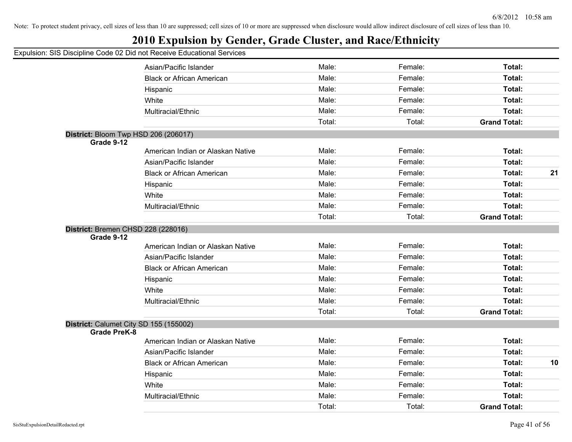## **2010 Expulsion by Gender, Grade Cluster, and Race/Ethnicity**

|                     | Asian/Pacific Islander                 | Male:  | Female: | <b>Total:</b>       |    |
|---------------------|----------------------------------------|--------|---------|---------------------|----|
|                     | <b>Black or African American</b>       | Male:  | Female: | <b>Total:</b>       |    |
|                     | Hispanic                               | Male:  | Female: | <b>Total:</b>       |    |
|                     | White                                  | Male:  | Female: | Total:              |    |
|                     | Multiracial/Ethnic                     | Male:  | Female: | <b>Total:</b>       |    |
|                     |                                        | Total: | Total:  | <b>Grand Total:</b> |    |
| Grade 9-12          | District: Bloom Twp HSD 206 (206017)   |        |         |                     |    |
|                     | American Indian or Alaskan Native      | Male:  | Female: | <b>Total:</b>       |    |
|                     | Asian/Pacific Islander                 | Male:  | Female: | <b>Total:</b>       |    |
|                     | <b>Black or African American</b>       | Male:  | Female: | Total:              | 21 |
|                     | Hispanic                               | Male:  | Female: | <b>Total:</b>       |    |
|                     | White                                  | Male:  | Female: | Total:              |    |
|                     | Multiracial/Ethnic                     | Male:  | Female: | <b>Total:</b>       |    |
|                     |                                        | Total: | Total:  | <b>Grand Total:</b> |    |
| Grade 9-12          | American Indian or Alaskan Native      | Male:  | Female: | <b>Total:</b>       |    |
|                     |                                        |        |         |                     |    |
|                     | Asian/Pacific Islander                 | Male:  | Female: | <b>Total:</b>       |    |
|                     | <b>Black or African American</b>       | Male:  | Female: | Total:              |    |
|                     | Hispanic                               | Male:  | Female: | Total:              |    |
|                     | White                                  | Male:  | Female: | Total:              |    |
|                     | Multiracial/Ethnic                     | Male:  | Female: | Total:              |    |
|                     |                                        | Total: | Total:  | <b>Grand Total:</b> |    |
| <b>Grade PreK-8</b> | District: Calumet City SD 155 (155002) |        |         |                     |    |
|                     | American Indian or Alaskan Native      | Male:  | Female: | <b>Total:</b>       |    |
|                     | Asian/Pacific Islander                 | Male:  | Female: | <b>Total:</b>       |    |
|                     | <b>Black or African American</b>       | Male:  | Female: | Total:              | 10 |
|                     | Hispanic                               | Male:  | Female: | <b>Total:</b>       |    |
|                     | White                                  | Male:  | Female: | Total:              |    |
|                     | Multiracial/Ethnic                     | Male:  | Female: | Total:              |    |
|                     |                                        | Total: | Total:  | <b>Grand Total:</b> |    |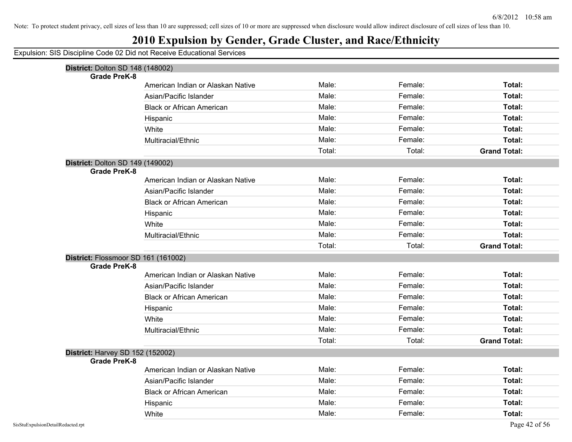## **2010 Expulsion by Gender, Grade Cluster, and Race/Ethnicity**

| District: Dolton SD 148 (148002)    |                                   |        |                    |                     |
|-------------------------------------|-----------------------------------|--------|--------------------|---------------------|
| <b>Grade PreK-8</b>                 |                                   | Male:  |                    | Total:              |
|                                     | American Indian or Alaskan Native | Male:  | Female:<br>Female: | Total:              |
|                                     | Asian/Pacific Islander            |        |                    |                     |
|                                     | <b>Black or African American</b>  | Male:  | Female:            | Total:              |
|                                     | Hispanic                          | Male:  | Female:            | Total:              |
|                                     | White                             | Male:  | Female:            | Total:              |
|                                     | Multiracial/Ethnic                | Male:  | Female:            | Total:              |
|                                     |                                   | Total: | Total:             | <b>Grand Total:</b> |
| District: Dolton SD 149 (149002)    |                                   |        |                    |                     |
| <b>Grade PreK-8</b>                 |                                   |        |                    |                     |
|                                     | American Indian or Alaskan Native | Male:  | Female:            | <b>Total:</b>       |
|                                     | Asian/Pacific Islander            | Male:  | Female:            | Total:              |
|                                     | <b>Black or African American</b>  | Male:  | Female:            | <b>Total:</b>       |
|                                     | Hispanic                          | Male:  | Female:            | Total:              |
|                                     | White                             | Male:  | Female:            | Total:              |
|                                     | Multiracial/Ethnic                | Male:  | Female:            | Total:              |
|                                     |                                   | Total: | Total:             | <b>Grand Total:</b> |
| District: Flossmoor SD 161 (161002) |                                   |        |                    |                     |
| <b>Grade PreK-8</b>                 |                                   |        |                    |                     |
|                                     | American Indian or Alaskan Native | Male:  | Female:            | <b>Total:</b>       |
|                                     | Asian/Pacific Islander            | Male:  | Female:            | Total:              |
|                                     | <b>Black or African American</b>  | Male:  | Female:            | <b>Total:</b>       |
|                                     | Hispanic                          | Male:  | Female:            | Total:              |
|                                     | White                             | Male:  | Female:            | Total:              |
|                                     | Multiracial/Ethnic                | Male:  | Female:            | Total:              |
|                                     |                                   | Total: | Total:             | <b>Grand Total:</b> |
| District: Harvey SD 152 (152002)    |                                   |        |                    |                     |
| <b>Grade PreK-8</b>                 |                                   |        |                    |                     |
|                                     | American Indian or Alaskan Native | Male:  | Female:            | Total:              |
|                                     | Asian/Pacific Islander            | Male:  | Female:            | Total:              |
|                                     | <b>Black or African American</b>  | Male:  | Female:            | Total:              |
|                                     | Hispanic                          | Male:  | Female:            | <b>Total:</b>       |
|                                     | White                             | Male:  | Female:            | Total:              |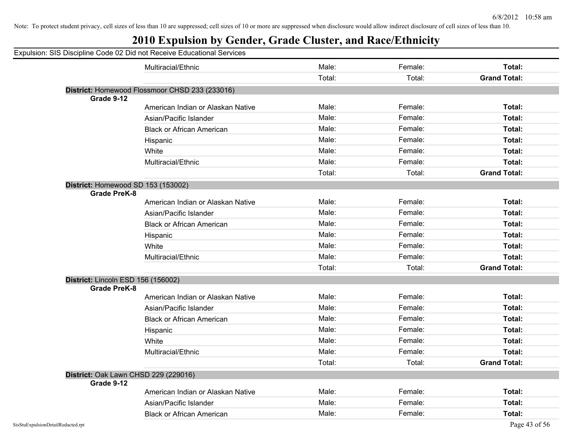## **2010 Expulsion by Gender, Grade Cluster, and Race/Ethnicity**

|                     | Multiracial/Ethnic                             | Male:  | Female: | Total:              |
|---------------------|------------------------------------------------|--------|---------|---------------------|
|                     |                                                | Total: | Total:  | <b>Grand Total:</b> |
|                     | District: Homewood Flossmoor CHSD 233 (233016) |        |         |                     |
| Grade 9-12          |                                                |        |         |                     |
|                     | American Indian or Alaskan Native              | Male:  | Female: | Total:              |
|                     | Asian/Pacific Islander                         | Male:  | Female: | Total:              |
|                     | <b>Black or African American</b>               | Male:  | Female: | Total:              |
|                     | Hispanic                                       | Male:  | Female: | Total:              |
|                     | White                                          | Male:  | Female: | Total:              |
|                     | Multiracial/Ethnic                             | Male:  | Female: | Total:              |
|                     |                                                | Total: | Total:  | <b>Grand Total:</b> |
|                     | District: Homewood SD 153 (153002)             |        |         |                     |
| <b>Grade PreK-8</b> |                                                |        |         |                     |
|                     | American Indian or Alaskan Native              | Male:  | Female: | Total:              |
|                     | Asian/Pacific Islander                         | Male:  | Female: | Total:              |
|                     | <b>Black or African American</b>               | Male:  | Female: | Total:              |
|                     | Hispanic                                       | Male:  | Female: | Total:              |
|                     | White                                          | Male:  | Female: | Total:              |
|                     | Multiracial/Ethnic                             | Male:  | Female: | Total:              |
|                     |                                                | Total: | Total:  | <b>Grand Total:</b> |
|                     | District: Lincoln ESD 156 (156002)             |        |         |                     |
| <b>Grade PreK-8</b> |                                                |        |         |                     |
|                     | American Indian or Alaskan Native              | Male:  | Female: | Total:              |
|                     | Asian/Pacific Islander                         | Male:  | Female: | Total:              |
|                     | <b>Black or African American</b>               | Male:  | Female: | Total:              |
|                     | Hispanic                                       | Male:  | Female: | Total:              |
|                     | White                                          | Male:  | Female: | Total:              |
|                     | Multiracial/Ethnic                             | Male:  | Female: | Total:              |
|                     |                                                | Total: | Total:  | <b>Grand Total:</b> |
|                     | District: Oak Lawn CHSD 229 (229016)           |        |         |                     |
| Grade 9-12          |                                                |        |         |                     |
|                     | American Indian or Alaskan Native              | Male:  | Female: | Total:              |
|                     | Asian/Pacific Islander                         | Male:  | Female: | Total:              |
|                     | <b>Black or African American</b>               | Male:  | Female: | Total:              |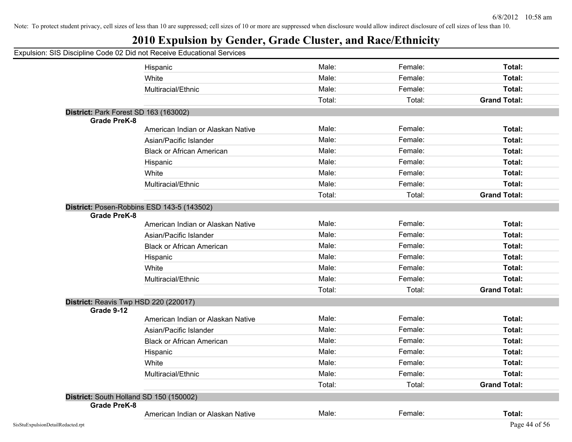|                     | Expulsion: SIS Discipline Code 02 Did not Receive Educational Services |        |         |                     |
|---------------------|------------------------------------------------------------------------|--------|---------|---------------------|
|                     | Hispanic                                                               | Male:  | Female: | Total:              |
|                     | White                                                                  | Male:  | Female: | Total:              |
|                     | Multiracial/Ethnic                                                     | Male:  | Female: | Total:              |
|                     |                                                                        | Total: | Total:  | <b>Grand Total:</b> |
|                     | District: Park Forest SD 163 (163002)                                  |        |         |                     |
| <b>Grade PreK-8</b> |                                                                        |        |         |                     |
|                     | American Indian or Alaskan Native                                      | Male:  | Female: | Total:              |
|                     | Asian/Pacific Islander                                                 | Male:  | Female: | Total:              |
|                     | <b>Black or African American</b>                                       | Male:  | Female: | Total:              |
|                     | Hispanic                                                               | Male:  | Female: | Total:              |
|                     | White                                                                  | Male:  | Female: | Total:              |
|                     | Multiracial/Ethnic                                                     | Male:  | Female: | Total:              |
|                     |                                                                        | Total: | Total:  | <b>Grand Total:</b> |
|                     | District: Posen-Robbins ESD 143-5 (143502)                             |        |         |                     |
| <b>Grade PreK-8</b> |                                                                        |        |         |                     |
|                     | American Indian or Alaskan Native                                      | Male:  | Female: | Total:              |
|                     | Asian/Pacific Islander                                                 | Male:  | Female: | Total:              |
|                     | <b>Black or African American</b>                                       | Male:  | Female: | Total:              |
|                     | Hispanic                                                               | Male:  | Female: | Total:              |
|                     | White                                                                  | Male:  | Female: | Total:              |
|                     | Multiracial/Ethnic                                                     | Male:  | Female: | Total:              |
|                     |                                                                        | Total: | Total:  | <b>Grand Total:</b> |
|                     | District: Reavis Twp HSD 220 (220017)                                  |        |         |                     |
| Grade 9-12          |                                                                        |        |         |                     |
|                     | American Indian or Alaskan Native                                      | Male:  | Female: | Total:              |
|                     | Asian/Pacific Islander                                                 | Male:  | Female: | Total:              |
|                     | <b>Black or African American</b>                                       | Male:  | Female: | Total:              |
|                     | Hispanic                                                               | Male:  | Female: | Total:              |
|                     | White                                                                  | Male:  | Female: | Total:              |
|                     | Multiracial/Ethnic                                                     | Male:  | Female: | Total:              |
|                     |                                                                        | Total: | Total:  | <b>Grand Total:</b> |
|                     | District: South Holland SD 150 (150002)                                |        |         |                     |
| Grade PreK-8        |                                                                        |        |         |                     |
|                     | American Indian or Alaskan Native                                      | Male:  | Female: | Total:              |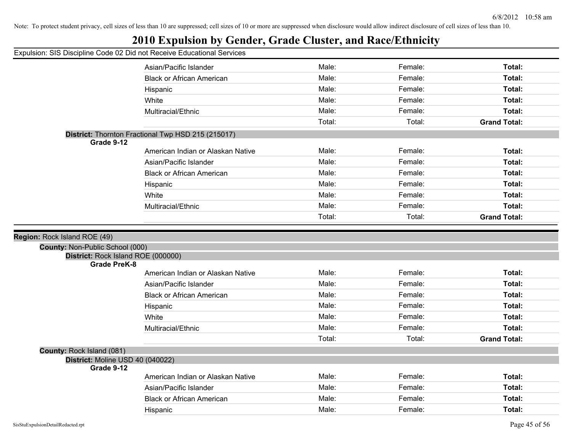## **2010 Expulsion by Gender, Grade Cluster, and Race/Ethnicity**

| paision. Sio Biscipinio Souo                              |                                                    |        |         |                     |
|-----------------------------------------------------------|----------------------------------------------------|--------|---------|---------------------|
|                                                           | Asian/Pacific Islander                             | Male:  | Female: | Total:              |
|                                                           | <b>Black or African American</b>                   | Male:  | Female: | Total:              |
|                                                           | Hispanic                                           | Male:  | Female: | Total:              |
|                                                           | White                                              | Male:  | Female: | Total:              |
|                                                           | Multiracial/Ethnic                                 | Male:  | Female: | Total:              |
|                                                           |                                                    | Total: | Total:  | <b>Grand Total:</b> |
| Grade 9-12                                                | District: Thornton Fractional Twp HSD 215 (215017) |        |         |                     |
|                                                           | American Indian or Alaskan Native                  | Male:  | Female: | Total:              |
|                                                           | Asian/Pacific Islander                             | Male:  | Female: | Total:              |
|                                                           | <b>Black or African American</b>                   | Male:  | Female: | Total:              |
|                                                           | Hispanic                                           | Male:  | Female: | Total:              |
|                                                           | White                                              | Male:  | Female: | Total:              |
|                                                           | Multiracial/Ethnic                                 | Male:  | Female: | Total:              |
|                                                           |                                                    | Total: | Total:  | <b>Grand Total:</b> |
|                                                           |                                                    |        |         |                     |
| Region: Rock Island ROE (49)                              |                                                    |        |         |                     |
| County: Non-Public School (000)                           |                                                    |        |         |                     |
| District: Rock Island ROE (000000)<br><b>Grade PreK-8</b> |                                                    |        |         |                     |
|                                                           | American Indian or Alaskan Native                  | Male:  | Female: | Total:              |
|                                                           | Asian/Pacific Islander                             | Male:  | Female: | Total:              |
|                                                           | <b>Black or African American</b>                   | Male:  | Female: | Total:              |
|                                                           | Hispanic                                           | Male:  | Female: | Total:              |
|                                                           | White                                              | Male:  | Female: | Total:              |
|                                                           | Multiracial/Ethnic                                 | Male:  | Female: | Total:              |
|                                                           |                                                    | Total: | Total:  | <b>Grand Total:</b> |
| County: Rock Island (081)                                 |                                                    |        |         |                     |
| District: Moline USD 40 (040022)<br>Grade 9-12            |                                                    |        |         |                     |
|                                                           | American Indian or Alaskan Native                  | Male:  | Female: | Total:              |
|                                                           | Asian/Pacific Islander                             | Male:  | Female: | Total:              |
|                                                           | <b>Black or African American</b>                   | Male:  | Female: | Total:              |
|                                                           |                                                    |        |         |                     |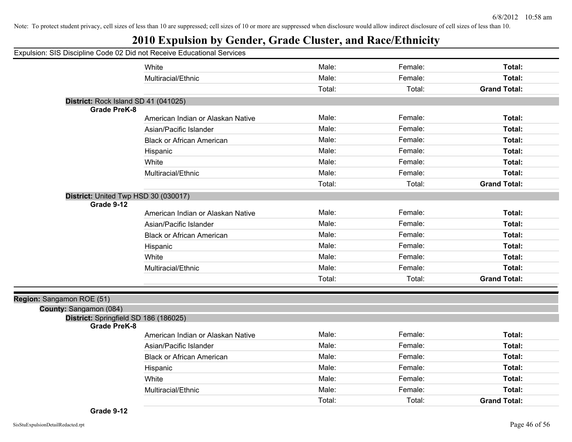## **2010 Expulsion by Gender, Grade Cluster, and Race/Ethnicity**

#### Expulsion: SIS Discipline Code 02 Did not Receive Educational Services

|                                                              | White                             | Male:  | Female: | Total:              |
|--------------------------------------------------------------|-----------------------------------|--------|---------|---------------------|
|                                                              | Multiracial/Ethnic                | Male:  | Female: | Total:              |
|                                                              |                                   | Total: | Total:  | <b>Grand Total:</b> |
| District: Rock Island SD 41 (041025)                         |                                   |        |         |                     |
| <b>Grade PreK-8</b>                                          |                                   |        |         |                     |
|                                                              | American Indian or Alaskan Native | Male:  | Female: | Total:              |
|                                                              | Asian/Pacific Islander            | Male:  | Female: | Total:              |
|                                                              | <b>Black or African American</b>  | Male:  | Female: | Total:              |
|                                                              | Hispanic                          | Male:  | Female: | Total:              |
|                                                              | White                             | Male:  | Female: | Total:              |
|                                                              | Multiracial/Ethnic                | Male:  | Female: | Total:              |
|                                                              |                                   | Total: | Total:  | <b>Grand Total:</b> |
| District: United Twp HSD 30 (030017)                         |                                   |        |         |                     |
| Grade 9-12                                                   |                                   |        |         |                     |
|                                                              | American Indian or Alaskan Native | Male:  | Female: | Total:              |
|                                                              | Asian/Pacific Islander            | Male:  | Female: | Total:              |
|                                                              | <b>Black or African American</b>  | Male:  | Female: | Total:              |
|                                                              | Hispanic                          | Male:  | Female: | Total:              |
|                                                              | White                             | Male:  | Female: | Total:              |
|                                                              | Multiracial/Ethnic                | Male:  | Female: | Total:              |
|                                                              |                                   | Total: | Total:  | <b>Grand Total:</b> |
|                                                              |                                   |        |         |                     |
| Sangamon ROE (51)                                            |                                   |        |         |                     |
| County: Sangamon (084)                                       |                                   |        |         |                     |
| District: Springfield SD 186 (186025)<br><b>Grade PreK-8</b> |                                   |        |         |                     |
|                                                              | American Indian or Alaskan Native | Male:  | Female: | Total:              |
|                                                              | Asian/Pacific Islander            | Male:  | Female: | Total:              |
|                                                              | <b>Black or African American</b>  | Male:  | Female: | Total:              |
|                                                              | Hispanic                          | Male:  | Female: | Total:              |
|                                                              | White                             | Male:  | Female: | Total:              |
|                                                              | Multiracial/Ethnic                | Male:  | Female: | Total:              |
|                                                              |                                   | Total: | Total:  | <b>Grand Total:</b> |

**Region: \$**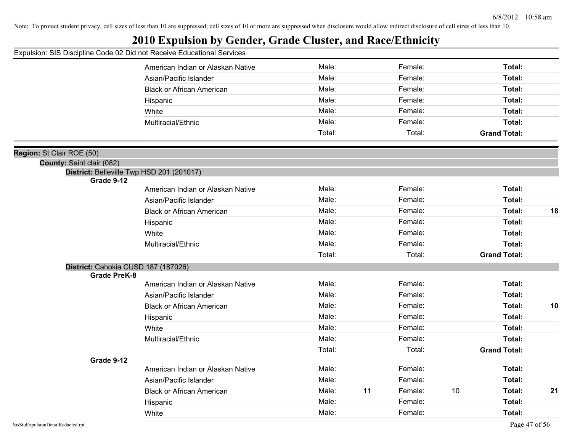## **2010 Expulsion by Gender, Grade Cluster, and Race/Ethnicity**

### Expulsion: SIS Discipline Code 02 Did not Receive Educational Services

|                                                                        | American Indian or Alaskan Native | Male:  | Female:       |    | Total:              |    |
|------------------------------------------------------------------------|-----------------------------------|--------|---------------|----|---------------------|----|
|                                                                        | Asian/Pacific Islander            | Male:  | Female:       |    | Total:              |    |
|                                                                        | <b>Black or African American</b>  | Male:  | Female:       |    | Total:              |    |
|                                                                        | Hispanic                          | Male:  | Female:       |    | Total:              |    |
|                                                                        | White                             | Male:  | Female:       |    | Total:              |    |
|                                                                        | Multiracial/Ethnic                | Male:  | Female:       |    | Total:              |    |
|                                                                        |                                   | Total: | Total:        |    | <b>Grand Total:</b> |    |
|                                                                        |                                   |        |               |    |                     |    |
| on: St Clair ROE (50)                                                  |                                   |        |               |    |                     |    |
| County: Saint clair (082)<br>District: Belleville Twp HSD 201 (201017) |                                   |        |               |    |                     |    |
| Grade 9-12                                                             |                                   |        |               |    |                     |    |
|                                                                        | American Indian or Alaskan Native | Male:  | Female:       |    | Total:              |    |
|                                                                        | Asian/Pacific Islander            | Male:  | Female:       |    | Total:              |    |
|                                                                        | <b>Black or African American</b>  | Male:  | Female:       |    | Total:              | 18 |
|                                                                        | Hispanic                          | Male:  | Female:       |    | Total:              |    |
|                                                                        | White                             | Male:  | Female:       |    | Total:              |    |
|                                                                        | Multiracial/Ethnic                | Male:  | Female:       |    | Total:              |    |
|                                                                        |                                   | Total: | Total:        |    | <b>Grand Total:</b> |    |
| District: Cahokia CUSD 187 (187026)                                    |                                   |        |               |    |                     |    |
| <b>Grade PreK-8</b>                                                    |                                   |        |               |    |                     |    |
|                                                                        | American Indian or Alaskan Native | Male:  | Female:       |    | <b>Total:</b>       |    |
|                                                                        | Asian/Pacific Islander            | Male:  | Female:       |    | Total:              |    |
|                                                                        | <b>Black or African American</b>  | Male:  | Female:       |    | Total:              | 10 |
|                                                                        | Hispanic                          | Male:  | Female:       |    | Total:              |    |
|                                                                        | White                             | Male:  | Female:       |    | Total:              |    |
|                                                                        | Multiracial/Ethnic                | Male:  | Female:       |    | Total:              |    |
|                                                                        |                                   | Total: | Total:        |    | <b>Grand Total:</b> |    |
| Grade 9-12                                                             | American Indian or Alaskan Native | Male:  | Female:       |    | Total:              |    |
|                                                                        | Asian/Pacific Islander            | Male:  | Female:       |    | Total:              |    |
|                                                                        | <b>Black or African American</b>  | Male:  | 11<br>Female: | 10 | Total:              | 21 |
|                                                                        | Hispanic                          | Male:  | Female:       |    | <b>Total:</b>       |    |
|                                                                        | White                             | Male:  | Female:       |    | Total:              |    |
|                                                                        |                                   |        |               |    |                     |    |

**Regi**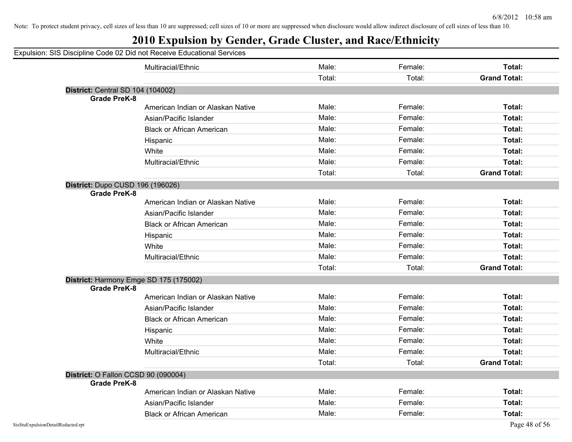## **2010 Expulsion by Gender, Grade Cluster, and Race/Ethnicity**

|                                          | Multiracial/Ethnic                     | Male:  | Female: | <b>Total:</b>       |
|------------------------------------------|----------------------------------------|--------|---------|---------------------|
|                                          |                                        | Total: | Total:  | <b>Grand Total:</b> |
| <b>District: Central SD 104 (104002)</b> |                                        |        |         |                     |
| <b>Grade PreK-8</b>                      |                                        |        |         |                     |
|                                          | American Indian or Alaskan Native      | Male:  | Female: | Total:              |
|                                          | Asian/Pacific Islander                 | Male:  | Female: | <b>Total:</b>       |
|                                          | <b>Black or African American</b>       | Male:  | Female: | Total:              |
|                                          | Hispanic                               | Male:  | Female: | Total:              |
|                                          | White                                  | Male:  | Female: | Total:              |
|                                          | Multiracial/Ethnic                     | Male:  | Female: | Total:              |
|                                          |                                        | Total: | Total:  | <b>Grand Total:</b> |
| District: Dupo CUSD 196 (196026)         |                                        |        |         |                     |
| <b>Grade PreK-8</b>                      |                                        |        |         |                     |
|                                          | American Indian or Alaskan Native      | Male:  | Female: | Total:              |
|                                          | Asian/Pacific Islander                 | Male:  | Female: | Total:              |
|                                          | <b>Black or African American</b>       | Male:  | Female: | Total:              |
|                                          | Hispanic                               | Male:  | Female: | <b>Total:</b>       |
|                                          | White                                  | Male:  | Female: | Total:              |
|                                          | Multiracial/Ethnic                     | Male:  | Female: | Total:              |
|                                          |                                        | Total: | Total:  | <b>Grand Total:</b> |
|                                          | District: Harmony Emge SD 175 (175002) |        |         |                     |
| <b>Grade PreK-8</b>                      |                                        |        |         |                     |
|                                          | American Indian or Alaskan Native      | Male:  | Female: | <b>Total:</b>       |
|                                          | Asian/Pacific Islander                 | Male:  | Female: | Total:              |
|                                          | <b>Black or African American</b>       | Male:  | Female: | Total:              |
|                                          | Hispanic                               | Male:  | Female: | Total:              |
|                                          | White                                  | Male:  | Female: | Total:              |
|                                          | Multiracial/Ethnic                     | Male:  | Female: | Total:              |
|                                          |                                        | Total: | Total:  | <b>Grand Total:</b> |
|                                          | District: O Fallon CCSD 90 (090004)    |        |         |                     |
| <b>Grade PreK-8</b>                      |                                        |        |         |                     |
|                                          | American Indian or Alaskan Native      | Male:  | Female: | <b>Total:</b>       |
|                                          | Asian/Pacific Islander                 | Male:  | Female: | <b>Total:</b>       |
|                                          | <b>Black or African American</b>       | Male:  | Female: | Total:              |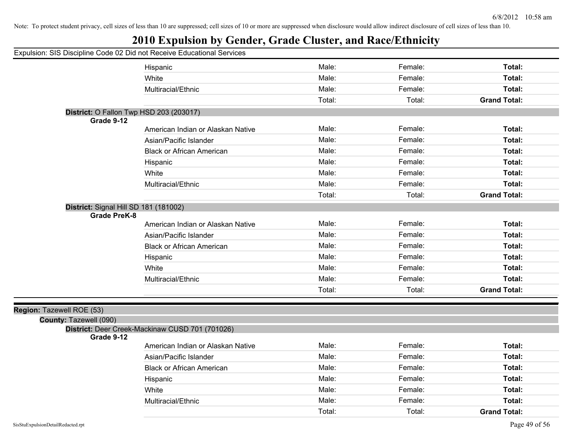|                           | Expulsion: SIS Discipline Code 02 Did not Receive Educational Services |        |         |                     |
|---------------------------|------------------------------------------------------------------------|--------|---------|---------------------|
|                           | Hispanic                                                               | Male:  | Female: | Total:              |
|                           | White                                                                  | Male:  | Female: | Total:              |
|                           | Multiracial/Ethnic                                                     | Male:  | Female: | Total:              |
|                           |                                                                        | Total: | Total:  | <b>Grand Total:</b> |
|                           | District: O Fallon Twp HSD 203 (203017)                                |        |         |                     |
| Grade 9-12                |                                                                        |        |         |                     |
|                           | American Indian or Alaskan Native                                      | Male:  | Female: | Total:              |
|                           | Asian/Pacific Islander                                                 | Male:  | Female: | Total:              |
|                           | <b>Black or African American</b>                                       | Male:  | Female: | Total:              |
|                           | Hispanic                                                               | Male:  | Female: | Total:              |
|                           | White                                                                  | Male:  | Female: | Total:              |
|                           | Multiracial/Ethnic                                                     | Male:  | Female: | Total:              |
|                           |                                                                        | Total: | Total:  | <b>Grand Total:</b> |
|                           | District: Signal Hill SD 181 (181002)                                  |        |         |                     |
| <b>Grade PreK-8</b>       |                                                                        |        |         |                     |
|                           | American Indian or Alaskan Native                                      | Male:  | Female: | Total:              |
|                           | Asian/Pacific Islander                                                 | Male:  | Female: | Total:              |
|                           | <b>Black or African American</b>                                       | Male:  | Female: | Total:              |
|                           | Hispanic                                                               | Male:  | Female: | Total:              |
|                           | White                                                                  | Male:  | Female: | Total:              |
|                           | Multiracial/Ethnic                                                     | Male:  | Female: | Total:              |
|                           |                                                                        | Total: | Total:  | <b>Grand Total:</b> |
|                           |                                                                        |        |         |                     |
| Region: Tazewell ROE (53) |                                                                        |        |         |                     |
| County: Tazewell (090)    |                                                                        |        |         |                     |
| Grade 9-12                | District: Deer Creek-Mackinaw CUSD 701 (701026)                        |        |         |                     |
|                           | American Indian or Alaskan Native                                      | Male:  | Female: | Total:              |
|                           | Asian/Pacific Islander                                                 | Male:  | Female: | Total:              |
|                           | <b>Black or African American</b>                                       | Male:  | Female: | Total:              |
|                           | Hispanic                                                               | Male:  | Female: | Total:              |
|                           | White                                                                  | Male:  | Female: | Total:              |
|                           | Multiracial/Ethnic                                                     | Male:  | Female: | Total:              |
|                           |                                                                        | Total: | Total:  | <b>Grand Total:</b> |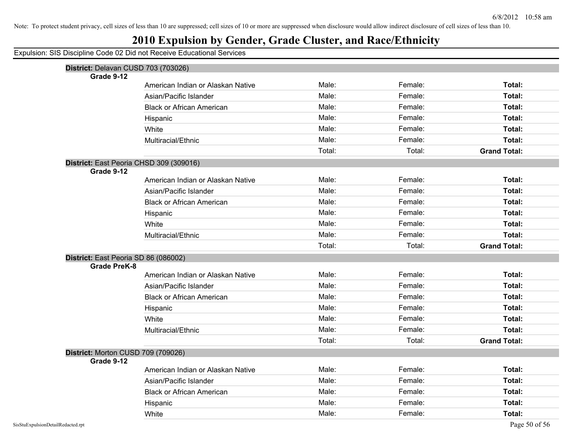## **2010 Expulsion by Gender, Grade Cluster, and Race/Ethnicity**

| District: Delavan CUSD 703 (703026) |                                         |        |         |                     |
|-------------------------------------|-----------------------------------------|--------|---------|---------------------|
| Grade 9-12                          | American Indian or Alaskan Native       | Male:  | Female: | Total:              |
|                                     | Asian/Pacific Islander                  | Male:  | Female: | Total:              |
|                                     | <b>Black or African American</b>        | Male:  | Female: | Total:              |
|                                     |                                         | Male:  | Female: | Total:              |
|                                     | Hispanic<br>White                       | Male:  | Female: | Total:              |
|                                     | Multiracial/Ethnic                      | Male:  | Female: | <b>Total:</b>       |
|                                     |                                         | Total: | Total:  | <b>Grand Total:</b> |
|                                     |                                         |        |         |                     |
| Grade 9-12                          | District: East Peoria CHSD 309 (309016) |        |         |                     |
|                                     | American Indian or Alaskan Native       | Male:  | Female: | Total:              |
|                                     | Asian/Pacific Islander                  | Male:  | Female: | Total:              |
|                                     | <b>Black or African American</b>        | Male:  | Female: | Total:              |
|                                     | Hispanic                                | Male:  | Female: | Total:              |
|                                     | White                                   | Male:  | Female: | Total:              |
|                                     | Multiracial/Ethnic                      | Male:  | Female: | Total:              |
|                                     |                                         | Total: | Total:  | <b>Grand Total:</b> |
|                                     | District: East Peoria SD 86 (086002)    |        |         |                     |
| <b>Grade PreK-8</b>                 |                                         |        |         |                     |
|                                     | American Indian or Alaskan Native       | Male:  | Female: | Total:              |
|                                     | Asian/Pacific Islander                  | Male:  | Female: | Total:              |
|                                     | <b>Black or African American</b>        | Male:  | Female: | Total:              |
|                                     | Hispanic                                | Male:  | Female: | Total:              |
|                                     | White                                   | Male:  | Female: | Total:              |
|                                     | Multiracial/Ethnic                      | Male:  | Female: | Total:              |
|                                     |                                         | Total: | Total:  | <b>Grand Total:</b> |
| District: Morton CUSD 709 (709026)  |                                         |        |         |                     |
| Grade 9-12                          |                                         |        |         |                     |
|                                     | American Indian or Alaskan Native       | Male:  | Female: | Total:              |
|                                     | Asian/Pacific Islander                  | Male:  | Female: | Total:              |
|                                     | <b>Black or African American</b>        | Male:  | Female: | Total:              |
|                                     | Hispanic                                | Male:  | Female: | Total:              |
|                                     | White                                   | Male:  | Female: | Total:              |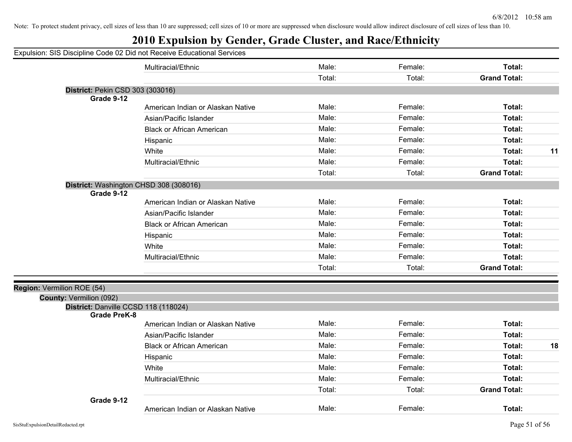| Expulsion: SIS Discipline Code 02 Did not Receive Educational Services |
|------------------------------------------------------------------------|
|------------------------------------------------------------------------|

|                                                             | Multiracial/Ethnic                | Male:  | Female: | Total:              |    |
|-------------------------------------------------------------|-----------------------------------|--------|---------|---------------------|----|
|                                                             |                                   | Total: | Total:  | <b>Grand Total:</b> |    |
| District: Pekin CSD 303 (303016)                            |                                   |        |         |                     |    |
| Grade 9-12                                                  |                                   |        |         |                     |    |
|                                                             | American Indian or Alaskan Native | Male:  | Female: | Total:              |    |
|                                                             | Asian/Pacific Islander            | Male:  | Female: | Total:              |    |
|                                                             | <b>Black or African American</b>  | Male:  | Female: | Total:              |    |
|                                                             | Hispanic                          | Male:  | Female: | Total:              |    |
|                                                             | White                             | Male:  | Female: | Total:              | 11 |
|                                                             | Multiracial/Ethnic                | Male:  | Female: | Total:              |    |
|                                                             |                                   | Total: | Total:  | <b>Grand Total:</b> |    |
| District: Washington CHSD 308 (308016)<br>Grade 9-12        |                                   |        |         |                     |    |
|                                                             | American Indian or Alaskan Native | Male:  | Female: | Total:              |    |
|                                                             | Asian/Pacific Islander            | Male:  | Female: | Total:              |    |
|                                                             | <b>Black or African American</b>  | Male:  | Female: | Total:              |    |
|                                                             | Hispanic                          | Male:  | Female: | Total:              |    |
|                                                             | White                             | Male:  | Female: | Total:              |    |
|                                                             | Multiracial/Ethnic                | Male:  | Female: | Total:              |    |
|                                                             |                                   | Total: | Total:  | <b>Grand Total:</b> |    |
| Region: Vermilion ROE (54)                                  |                                   |        |         |                     |    |
| <b>County: Vermilion (092)</b>                              |                                   |        |         |                     |    |
| District: Danville CCSD 118 (118024)<br><b>Grade PreK-8</b> |                                   |        |         |                     |    |
|                                                             | American Indian or Alaskan Native | Male:  | Female: | <b>Total:</b>       |    |
|                                                             | Asian/Pacific Islander            | Male:  | Female: | Total:              |    |
|                                                             | <b>Black or African American</b>  | Male:  | Female: | Total:              | 18 |
|                                                             | Hispanic                          | Male:  | Female: | Total:              |    |
|                                                             | White                             | Male:  | Female: | Total:              |    |
|                                                             | Multiracial/Ethnic                | Male:  | Female: | Total:              |    |
|                                                             |                                   | Total: | Total:  | <b>Grand Total:</b> |    |
| Grade 9-12                                                  | American Indian or Alaskan Native | Male:  | Female: | Total:              |    |
|                                                             |                                   |        |         |                     |    |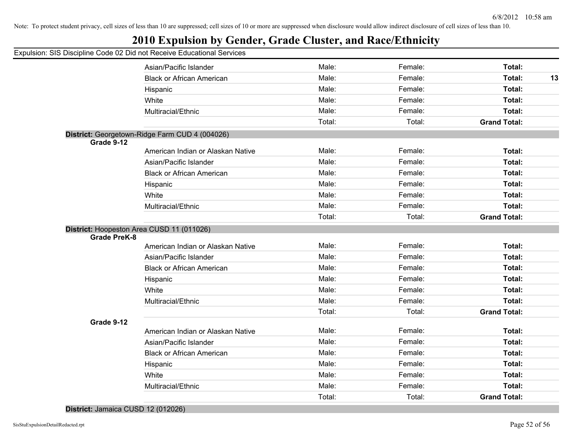## **2010 Expulsion by Gender, Grade Cluster, and Race/Ethnicity**

#### Expulsion: SIS Discipline Code 02 Did not Receive Educational Services

|                     | Asian/Pacific Islander                         | Male:  | Female: | Total:              |    |
|---------------------|------------------------------------------------|--------|---------|---------------------|----|
|                     | <b>Black or African American</b>               | Male:  | Female: | Total:              | 13 |
|                     | Hispanic                                       | Male:  | Female: | Total:              |    |
|                     | White                                          | Male:  | Female: | Total:              |    |
|                     | Multiracial/Ethnic                             | Male:  | Female: | <b>Total:</b>       |    |
|                     |                                                | Total: | Total:  | <b>Grand Total:</b> |    |
| Grade 9-12          | District: Georgetown-Ridge Farm CUD 4 (004026) |        |         |                     |    |
|                     | American Indian or Alaskan Native              | Male:  | Female: | Total:              |    |
|                     | Asian/Pacific Islander                         | Male:  | Female: | Total:              |    |
|                     | <b>Black or African American</b>               | Male:  | Female: | Total:              |    |
|                     | Hispanic                                       | Male:  | Female: | Total:              |    |
|                     | White                                          | Male:  | Female: | Total:              |    |
|                     | Multiracial/Ethnic                             | Male:  | Female: | Total:              |    |
|                     |                                                | Total: | Total:  | <b>Grand Total:</b> |    |
| <b>Grade PreK-8</b> | District: Hoopeston Area CUSD 11 (011026)      |        |         |                     |    |
|                     | American Indian or Alaskan Native              | Male:  | Female: | <b>Total:</b>       |    |
|                     | Asian/Pacific Islander                         | Male:  | Female: | Total:              |    |
|                     | <b>Black or African American</b>               | Male:  | Female: | Total:              |    |
|                     | Hispanic                                       | Male:  | Female: | Total:              |    |
|                     | White                                          | Male:  | Female: | Total:              |    |
|                     | Multiracial/Ethnic                             | Male:  | Female: | Total:              |    |
|                     |                                                | Total: | Total:  | <b>Grand Total:</b> |    |
| Grade 9-12          |                                                |        |         |                     |    |
|                     | American Indian or Alaskan Native              | Male:  | Female: | Total:              |    |
|                     | Asian/Pacific Islander                         | Male:  | Female: | Total:              |    |
|                     | <b>Black or African American</b>               | Male:  | Female: | Total:              |    |
|                     | Hispanic                                       | Male:  | Female: | Total:              |    |
|                     | White                                          | Male:  | Female: | Total:              |    |
|                     | Multiracial/Ethnic                             | Male:  | Female: | Total:              |    |
|                     |                                                | Total: | Total:  | <b>Grand Total:</b> |    |

#### **District:** Jamaica CUSD 12 (012026)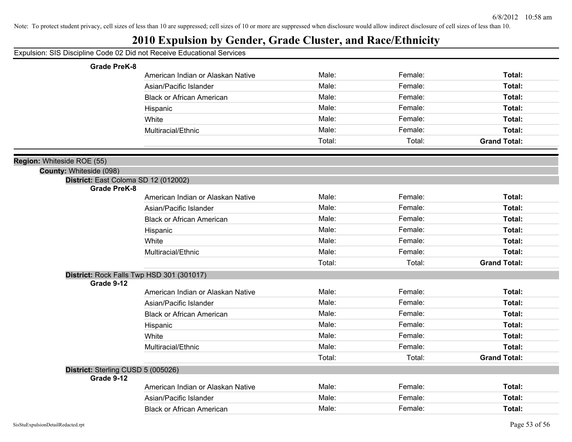| Expulsion: SIS Discipline Code 02 Did not Receive Educational Services |  |  |  |  |  |
|------------------------------------------------------------------------|--|--|--|--|--|
|------------------------------------------------------------------------|--|--|--|--|--|

| <b>Grade PreK-8</b>                                     |                                   |        |         |                     |
|---------------------------------------------------------|-----------------------------------|--------|---------|---------------------|
|                                                         | American Indian or Alaskan Native | Male:  | Female: | Total:              |
|                                                         | Asian/Pacific Islander            | Male:  | Female: | Total:              |
|                                                         | <b>Black or African American</b>  | Male:  | Female: | Total:              |
|                                                         | Hispanic                          | Male:  | Female: | Total:              |
|                                                         | White                             | Male:  | Female: | Total:              |
|                                                         | Multiracial/Ethnic                | Male:  | Female: | Total:              |
|                                                         |                                   | Total: | Total:  | <b>Grand Total:</b> |
| Region: Whiteside ROE (55)                              |                                   |        |         |                     |
| County: Whiteside (098)                                 |                                   |        |         |                     |
| District: East Coloma SD 12 (012002)                    |                                   |        |         |                     |
| <b>Grade PreK-8</b>                                     | American Indian or Alaskan Native | Male:  | Female: | Total:              |
|                                                         | Asian/Pacific Islander            | Male:  | Female: | Total:              |
|                                                         |                                   | Male:  | Female: |                     |
|                                                         | <b>Black or African American</b>  |        |         | Total:              |
|                                                         | Hispanic                          | Male:  | Female: | Total:              |
|                                                         | White                             | Male:  | Female: | Total:              |
|                                                         | Multiracial/Ethnic                | Male:  | Female: | Total:              |
|                                                         |                                   | Total: | Total:  | <b>Grand Total:</b> |
| District: Rock Falls Twp HSD 301 (301017)<br>Grade 9-12 |                                   |        |         |                     |
|                                                         | American Indian or Alaskan Native | Male:  | Female: | Total:              |
|                                                         | Asian/Pacific Islander            | Male:  | Female: | Total:              |
|                                                         | <b>Black or African American</b>  | Male:  | Female: | Total:              |
|                                                         | Hispanic                          | Male:  | Female: | Total:              |
|                                                         | White                             | Male:  | Female: | Total:              |
|                                                         | Multiracial/Ethnic                | Male:  | Female: | Total:              |
|                                                         |                                   | Total: | Total:  | <b>Grand Total:</b> |
| District: Sterling CUSD 5 (005026)<br>Grade 9-12        |                                   |        |         |                     |
|                                                         | American Indian or Alaskan Native | Male:  | Female: | Total:              |
|                                                         | Asian/Pacific Islander            | Male:  | Female: | Total:              |
|                                                         | <b>Black or African American</b>  | Male:  | Female: | Total:              |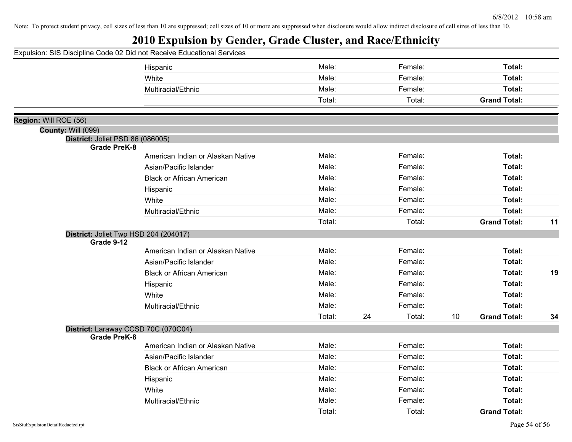|                           | Expulsion: SIS Discipline Code 02 Did not Receive Educational Services |        |    |         |    |                     |    |
|---------------------------|------------------------------------------------------------------------|--------|----|---------|----|---------------------|----|
|                           | Hispanic                                                               | Male:  |    | Female: |    | Total:              |    |
|                           | White                                                                  | Male:  |    | Female: |    | Total:              |    |
|                           | Multiracial/Ethnic                                                     | Male:  |    | Female: |    | Total:              |    |
|                           |                                                                        | Total: |    | Total:  |    | <b>Grand Total:</b> |    |
| Region: Will ROE (56)     |                                                                        |        |    |         |    |                     |    |
| <b>County: Will (099)</b> |                                                                        |        |    |         |    |                     |    |
|                           | District: Joliet PSD 86 (086005)                                       |        |    |         |    |                     |    |
| <b>Grade PreK-8</b>       | American Indian or Alaskan Native                                      | Male:  |    | Female: |    | Total:              |    |
|                           |                                                                        | Male:  |    | Female: |    | Total:              |    |
|                           | Asian/Pacific Islander<br><b>Black or African American</b>             | Male:  |    | Female: |    | Total:              |    |
|                           |                                                                        | Male:  |    | Female: |    |                     |    |
|                           | Hispanic                                                               |        |    |         |    | Total:              |    |
|                           | White                                                                  | Male:  |    | Female: |    | Total:              |    |
|                           | Multiracial/Ethnic                                                     | Male:  |    | Female: |    | Total:              |    |
|                           |                                                                        | Total: |    | Total:  |    | <b>Grand Total:</b> | 11 |
| Grade 9-12                | District: Joliet Twp HSD 204 (204017)                                  |        |    |         |    |                     |    |
|                           | American Indian or Alaskan Native                                      | Male:  |    | Female: |    | Total:              |    |
|                           | Asian/Pacific Islander                                                 | Male:  |    | Female: |    | Total:              |    |
|                           | <b>Black or African American</b>                                       | Male:  |    | Female: |    | Total:              | 19 |
|                           | Hispanic                                                               | Male:  |    | Female: |    | Total:              |    |
|                           | White                                                                  | Male:  |    | Female: |    | Total:              |    |
|                           | Multiracial/Ethnic                                                     | Male:  |    | Female: |    | Total:              |    |
|                           |                                                                        | Total: | 24 | Total:  | 10 | <b>Grand Total:</b> | 34 |
| <b>Grade PreK-8</b>       | District: Laraway CCSD 70C (070C04)                                    |        |    |         |    |                     |    |
|                           | American Indian or Alaskan Native                                      | Male:  |    | Female: |    | Total:              |    |
|                           | Asian/Pacific Islander                                                 | Male:  |    | Female: |    | Total:              |    |
|                           | <b>Black or African American</b>                                       | Male:  |    | Female: |    | Total:              |    |
|                           | Hispanic                                                               | Male:  |    | Female: |    | Total:              |    |
|                           | White                                                                  | Male:  |    | Female: |    | Total:              |    |
|                           | Multiracial/Ethnic                                                     | Male:  |    | Female: |    | Total:              |    |
|                           |                                                                        | Total: |    | Total:  |    | <b>Grand Total:</b> |    |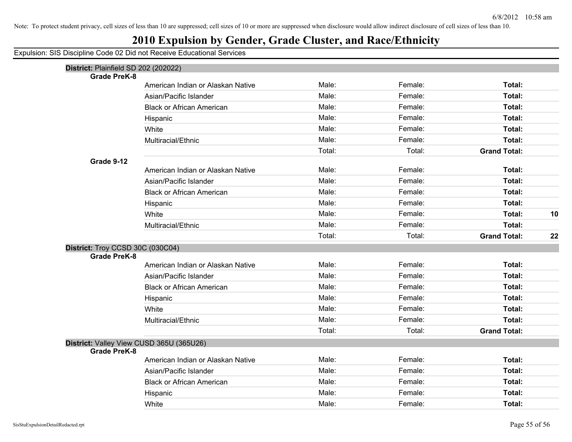## **2010 Expulsion by Gender, Grade Cluster, and Race/Ethnicity**

| District: Plainfield SD 202 (202022)<br><b>Grade PreK-8</b> |                                          |        |         |                     |    |
|-------------------------------------------------------------|------------------------------------------|--------|---------|---------------------|----|
|                                                             | American Indian or Alaskan Native        | Male:  | Female: | Total:              |    |
|                                                             | Asian/Pacific Islander                   | Male:  | Female: | <b>Total:</b>       |    |
|                                                             | <b>Black or African American</b>         | Male:  | Female: | Total:              |    |
|                                                             | Hispanic                                 | Male:  | Female: | Total:              |    |
|                                                             | White                                    | Male:  | Female: | Total:              |    |
|                                                             | Multiracial/Ethnic                       | Male:  | Female: | Total:              |    |
|                                                             |                                          | Total: | Total:  | <b>Grand Total:</b> |    |
| Grade 9-12                                                  |                                          |        |         |                     |    |
|                                                             | American Indian or Alaskan Native        | Male:  | Female: | Total:              |    |
|                                                             | Asian/Pacific Islander                   | Male:  | Female: | Total:              |    |
|                                                             | <b>Black or African American</b>         | Male:  | Female: | Total:              |    |
|                                                             | Hispanic                                 | Male:  | Female: | Total:              |    |
|                                                             | White                                    | Male:  | Female: | Total:              | 10 |
|                                                             | Multiracial/Ethnic                       | Male:  | Female: | Total:              |    |
|                                                             |                                          | Total: | Total:  | <b>Grand Total:</b> | 22 |
| District: Troy CCSD 30C (030C04)                            |                                          |        |         |                     |    |
| <b>Grade PreK-8</b>                                         |                                          |        |         |                     |    |
|                                                             | American Indian or Alaskan Native        | Male:  | Female: | Total:              |    |
|                                                             | Asian/Pacific Islander                   | Male:  | Female: | Total:              |    |
|                                                             | <b>Black or African American</b>         | Male:  | Female: | Total:              |    |
|                                                             | Hispanic                                 | Male:  | Female: | Total:              |    |
|                                                             | White                                    | Male:  | Female: | Total:              |    |
|                                                             | Multiracial/Ethnic                       | Male:  | Female: | Total:              |    |
|                                                             |                                          | Total: | Total:  | <b>Grand Total:</b> |    |
|                                                             | District: Valley View CUSD 365U (365U26) |        |         |                     |    |
| <b>Grade PreK-8</b>                                         |                                          |        |         |                     |    |
|                                                             | American Indian or Alaskan Native        | Male:  | Female: | Total:              |    |
|                                                             | Asian/Pacific Islander                   | Male:  | Female: | <b>Total:</b>       |    |
|                                                             | <b>Black or African American</b>         | Male:  | Female: | Total:              |    |
|                                                             | Hispanic                                 | Male:  | Female: | Total:              |    |
|                                                             | White                                    | Male:  | Female: | Total:              |    |